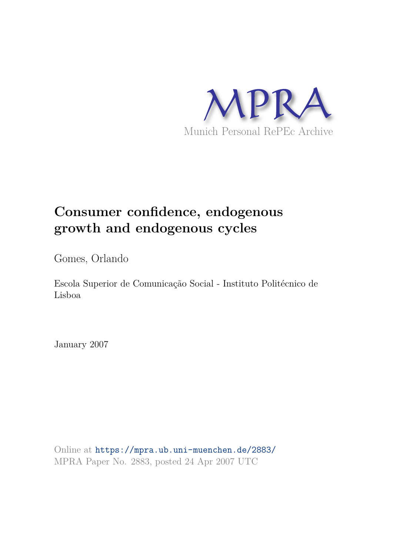

# **Consumer confidence, endogenous growth and endogenous cycles**

Gomes, Orlando

Escola Superior de Comunicação Social - Instituto Politécnico de Lisboa

January 2007

Online at https://mpra.ub.uni-muenchen.de/2883/ MPRA Paper No. 2883, posted 24 Apr 2007 UTC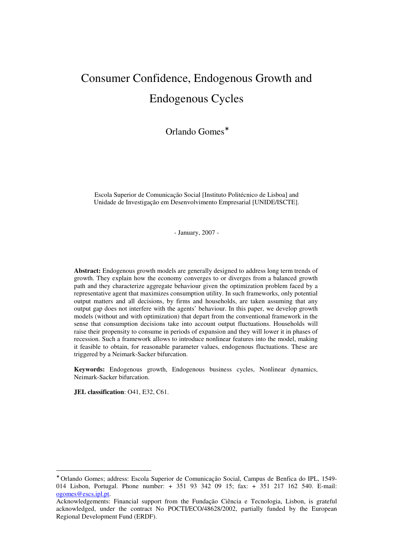# Consumer Confidence, Endogenous Growth and Endogenous Cycles

Orlando Gomes<sup>\*</sup>

Escola Superior de Comunicação Social [Instituto Politécnico de Lisboa] and Unidade de Investigação em Desenvolvimento Empresarial [UNIDE/ISCTE].

- January, 2007 -

**Abstract:** Endogenous growth models are generally designed to address long term trends of growth. They explain how the economy converges to or diverges from a balanced growth path and they characterize aggregate behaviour given the optimization problem faced by a representative agent that maximizes consumption utility. In such frameworks, only potential output matters and all decisions, by firms and households, are taken assuming that any output gap does not interfere with the agents' behaviour. In this paper, we develop growth models (without and with optimization) that depart from the conventional framework in the sense that consumption decisions take into account output fluctuations. Households will raise their propensity to consume in periods of expansion and they will lower it in phases of recession. Such a framework allows to introduce nonlinear features into the model, making it feasible to obtain, for reasonable parameter values, endogenous fluctuations. These are triggered by a Neimark-Sacker bifurcation.

**Keywords:** Endogenous growth, Endogenous business cycles, Nonlinear dynamics, Neimark-Sacker bifurcation.

**JEL classification**: O41, E32, C61.

 $\overline{a}$ 

<sup>∗</sup> Orlando Gomes; address: Escola Superior de Comunicação Social, Campus de Benfica do IPL, 1549- 014 Lisbon, Portugal. Phone number: + 351 93 342 09 15; fax: + 351 217 162 540. E-mail: ogomes@escs.ipl.pt.

Acknowledgements: Financial support from the Fundação Ciência e Tecnologia, Lisbon, is grateful acknowledged, under the contract No POCTI/ECO/48628/2002, partially funded by the European Regional Development Fund (ERDF).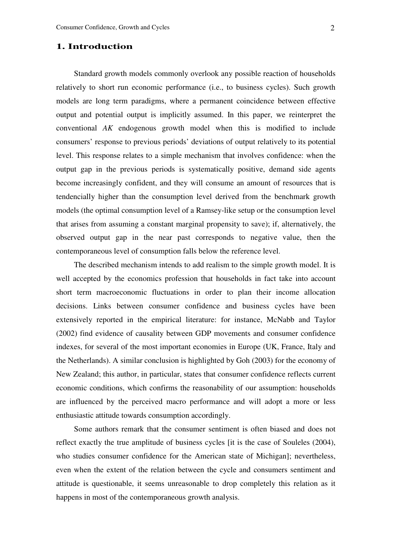## **1. Introduction**

Standard growth models commonly overlook any possible reaction of households relatively to short run economic performance (i.e., to business cycles). Such growth models are long term paradigms, where a permanent coincidence between effective output and potential output is implicitly assumed. In this paper, we reinterpret the conventional *AK* endogenous growth model when this is modified to include consumers' response to previous periods' deviations of output relatively to its potential level. This response relates to a simple mechanism that involves confidence: when the output gap in the previous periods is systematically positive, demand side agents become increasingly confident, and they will consume an amount of resources that is tendencially higher than the consumption level derived from the benchmark growth models (the optimal consumption level of a Ramsey-like setup or the consumption level that arises from assuming a constant marginal propensity to save); if, alternatively, the observed output gap in the near past corresponds to negative value, then the contemporaneous level of consumption falls below the reference level.

The described mechanism intends to add realism to the simple growth model. It is well accepted by the economics profession that households in fact take into account short term macroeconomic fluctuations in order to plan their income allocation decisions. Links between consumer confidence and business cycles have been extensively reported in the empirical literature: for instance, McNabb and Taylor (2002) find evidence of causality between GDP movements and consumer confidence indexes, for several of the most important economies in Europe (UK, France, Italy and the Netherlands). A similar conclusion is highlighted by Goh (2003) for the economy of New Zealand; this author, in particular, states that consumer confidence reflects current economic conditions, which confirms the reasonability of our assumption: households are influenced by the perceived macro performance and will adopt a more or less enthusiastic attitude towards consumption accordingly.

Some authors remark that the consumer sentiment is often biased and does not reflect exactly the true amplitude of business cycles [it is the case of Souleles (2004), who studies consumer confidence for the American state of Michigan]; nevertheless, even when the extent of the relation between the cycle and consumers sentiment and attitude is questionable, it seems unreasonable to drop completely this relation as it happens in most of the contemporaneous growth analysis.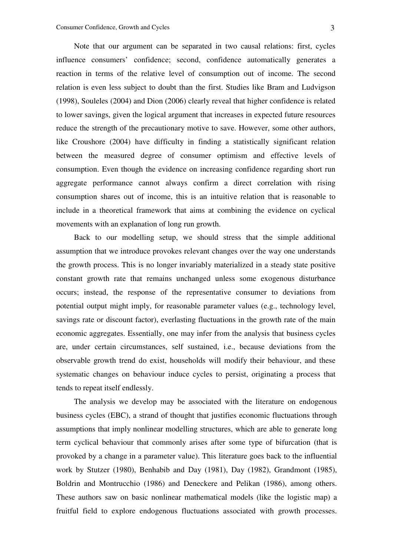Note that our argument can be separated in two causal relations: first, cycles influence consumers' confidence; second, confidence automatically generates a reaction in terms of the relative level of consumption out of income. The second relation is even less subject to doubt than the first. Studies like Bram and Ludvigson (1998), Souleles (2004) and Dion (2006) clearly reveal that higher confidence is related to lower savings, given the logical argument that increases in expected future resources reduce the strength of the precautionary motive to save. However, some other authors, like Croushore (2004) have difficulty in finding a statistically significant relation between the measured degree of consumer optimism and effective levels of consumption. Even though the evidence on increasing confidence regarding short run aggregate performance cannot always confirm a direct correlation with rising consumption shares out of income, this is an intuitive relation that is reasonable to include in a theoretical framework that aims at combining the evidence on cyclical movements with an explanation of long run growth.

Back to our modelling setup, we should stress that the simple additional assumption that we introduce provokes relevant changes over the way one understands the growth process. This is no longer invariably materialized in a steady state positive constant growth rate that remains unchanged unless some exogenous disturbance occurs; instead, the response of the representative consumer to deviations from potential output might imply, for reasonable parameter values (e.g., technology level, savings rate or discount factor), everlasting fluctuations in the growth rate of the main economic aggregates. Essentially, one may infer from the analysis that business cycles are, under certain circumstances, self sustained, i.e., because deviations from the observable growth trend do exist, households will modify their behaviour, and these systematic changes on behaviour induce cycles to persist, originating a process that tends to repeat itself endlessly.

The analysis we develop may be associated with the literature on endogenous business cycles (EBC), a strand of thought that justifies economic fluctuations through assumptions that imply nonlinear modelling structures, which are able to generate long term cyclical behaviour that commonly arises after some type of bifurcation (that is provoked by a change in a parameter value). This literature goes back to the influential work by Stutzer (1980), Benhabib and Day (1981), Day (1982), Grandmont (1985), Boldrin and Montrucchio (1986) and Deneckere and Pelikan (1986), among others. These authors saw on basic nonlinear mathematical models (like the logistic map) a fruitful field to explore endogenous fluctuations associated with growth processes.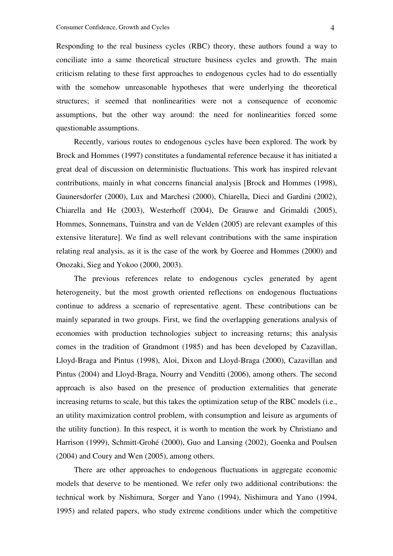Responding to the real business cycles (RBC) theory, these authors found a way to conciliate into a same theoretical structure business cycles and growth. The main criticism relating to these first approaches to endogenous cycles had to do essentially with the somehow unreasonable hypotheses that were underlying the theoretical structures; it seemed that nonlinearities were not a consequence of economic assumptions, but the other way around: the need for nonlinearities forced some questionable assumptions.

Recently, various routes to endogenous cycles have been explored. The work by Brock and Hommes (1997) constitutes a fundamental reference because it has initiated a great deal of discussion on deterministic fluctuations. This work has inspired relevant contributions, mainly in what concerns financial analysis [Brock and Hommes (1998), Gaunersdorfer (2000), Lux and Marchesi (2000), Chiarella, Dieci and Gardini (2002), Chiarella and He (2003), Westerhoff (2004), De Grauwe and Grimaldi (2005), Hommes, Sonnemans, Tuinstra and van de Velden (2005) are relevant examples of this extensive literature]. We find as well relevant contributions with the same inspiration relating real analysis, as it is the case of the work by Goeree and Hommes (2000) and Onozaki, Sieg and Yokoo (2000, 2003).

The previous references relate to endogenous cycles generated by agent heterogeneity, but the most growth oriented reflections on endogenous fluctuations continue to address a scenario of representative agent. These contributions can be mainly separated in two groups. First, we find the overlapping generations analysis of economies with production technologies subject to increasing returns; this analysis comes in the tradition of Grandmont (1985) and has been developed by Cazavillan, Lloyd-Braga and Pintus (1998), Aloi, Dixon and Lloyd-Braga (2000), Cazavillan and Pintus (2004) and Lloyd-Braga, Nourry and Venditti (2006), among others. The second approach is also based on the presence of production externalities that generate increasing returns to scale, but this takes the optimization setup of the RBC models (i.e., an utility maximization control problem, with consumption and leisure as arguments of the utility function). In this respect, it is worth to mention the work by Christiano and Harrison (1999), Schmitt-Grohé (2000), Guo and Lansing (2002), Goenka and Poulsen (2004) and Coury and Wen (2005), among others.

There are other approaches to endogenous fluctuations in aggregate economic models that deserve to be mentioned. We refer only two additional contributions: the technical work by Nishimura, Sorger and Yano (1994), Nishimura and Yano (1994, 1995) and related papers, who study extreme conditions under which the competitive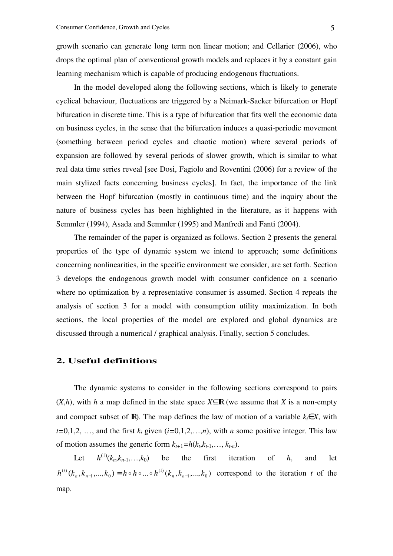growth scenario can generate long term non linear motion; and Cellarier (2006), who drops the optimal plan of conventional growth models and replaces it by a constant gain learning mechanism which is capable of producing endogenous fluctuations.

In the model developed along the following sections, which is likely to generate cyclical behaviour, fluctuations are triggered by a Neimark-Sacker bifurcation or Hopf bifurcation in discrete time. This is a type of bifurcation that fits well the economic data on business cycles, in the sense that the bifurcation induces a quasi-periodic movement (something between period cycles and chaotic motion) where several periods of expansion are followed by several periods of slower growth, which is similar to what real data time series reveal [see Dosi, Fagiolo and Roventini (2006) for a review of the main stylized facts concerning business cycles]. In fact, the importance of the link between the Hopf bifurcation (mostly in continuous time) and the inquiry about the nature of business cycles has been highlighted in the literature, as it happens with Semmler (1994), Asada and Semmler (1995) and Manfredi and Fanti (2004).

The remainder of the paper is organized as follows. Section 2 presents the general properties of the type of dynamic system we intend to approach; some definitions concerning nonlinearities, in the specific environment we consider, are set forth. Section 3 develops the endogenous growth model with consumer confidence on a scenario where no optimization by a representative consumer is assumed. Section 4 repeats the analysis of section 3 for a model with consumption utility maximization. In both sections, the local properties of the model are explored and global dynamics are discussed through a numerical / graphical analysis. Finally, section 5 concludes.

### **2. Useful definitions**

The dynamic systems to consider in the following sections correspond to pairs  $(X,h)$ , with *h* a map defined in the state space  $X \subseteq \mathbb{R}$  (we assume that *X* is a non-empty and compact subset of R). The map defines the law of motion of a variable  $k \in X$ , with  $t=0,1,2, \ldots$ , and the first  $k_i$  given  $(i=0,1,2,\ldots,n)$ , with *n* some positive integer. This law of motion assumes the generic form  $k_{t+1} = h(k_t, k_{t-1}, \ldots, k_{t-n})$ .

Let *h*  $h^{(1)}(k_n, k_{n-1}, \ldots, k_0)$  be the first iteration of *h*, and let  $(k_n, k_{n-1},...,k_0) = h \circ h \circ ... \circ h^{(1)}(k_n, k_{n-1},...,k_0)$  $^{(1)}$  $_{1},\ldots,$   $\mathfrak{a}_{\,0}$  $h^{(t)}(k_n, k_{n-1},..., k_0) = h \circ h \circ ... \circ h^{(1)}(k_n, k_{n-1},..., k_0)$  correspond to the iteration *t* of the map.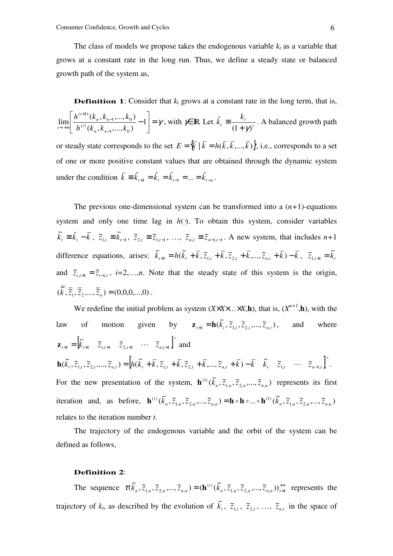The class of models we propose takes the endogenous variable  $k_t$  as a variable that grows at a constant rate in the long run. Thus, we define a steady state or balanced growth path of the system as,

**Definition 1:** Consider that  $k_t$  grows at a constant rate in the long term, that is,  $\vert = \gamma$  $\rfloor$ 1 L L Γ − − − +  $\lim_{n\to\infty}\frac{n^{(k)}(k_n,k_{n-1},...,k_0)}{h^{(t)}(k_n,k_{n-1},...,k_n)}-1$  $(k_n, k_{n-1},..., k_0)$  $(k_n, k_{n-1},..., k_0)$ lim  $1, \ldots, n_0$  $(t)$  $1, \ldots, n_0$  $(t+1)$  $h^{(t)}(k_{n},k_{n-1},...,k_{n})$  $h^{(t+1)}(k_{n},k_{n-1},...,k_{n})$ *n n t n n t*  $\lim_{t\to+\infty}\left|\frac{\partial}{\partial t}(t)\frac{\partial}{\partial t}(t)\frac{\partial}{\partial t}(t+\mathbf{k}_1,\ldots,\mathbf{k}_n)\right|^{2}-1\right|=\gamma, \text{ with } \gamma\in\mathbb{R} \text{ Let } k_t\equiv\frac{\partial}{\partial t}\left(1+\gamma\right)^{t}$ *t t k k*  $(1+\gamma)$ ˆ  $+$   $\gamma^{'}$  $\equiv \frac{m_t}{a}$ . A balanced growth path or steady state corresponds to the set  $E = \{ \overline{k} \mid \overline{k} = h(\overline{k}, \overline{k}, \dots, \overline{k}) \}$ , i.e., corresponds to a set of one or more positive constant values that are obtained through the dynamic system under the condition  $\bar{k} = \hat{k}_{t+1} - \hat{k}_t = \hat{k}_{t-1} - \dots = \hat{k}_{t-n}$ .

The previous one-dimensional system can be transformed into a  $(n+1)$ -equations system and only one time lag in  $h(.)$ . To obtain this system, consider variables  $\widetilde{k}_t = \widehat{k}_t - \overline{k}$ ,  $\widetilde{z}_{1,t} = \widetilde{k}_{t-1}$ ,  $\widetilde{z}_{2,t} = \widetilde{z}_{1,t-1}$ , ...,  $\widetilde{z}_{n,t} = \widetilde{z}_{n-1,t-1}$ . A new system, that includes  $n+1$ difference equations, arises:  $\tilde{k}_{t+1} = h(\tilde{k}_t + \bar{k}, \tilde{z}_{1,t} + \bar{k}, \tilde{z}_{2,t} + \bar{k}, ..., \tilde{z}_{n,t} + \bar{k}) - \bar{k}$  $\tilde{\mathcal{L}}_1 = h(\tilde{k}_t + \bar{k}, \tilde{z}_{1,t} + \bar{k}, \tilde{z}_{2,t} + \bar{k}, ..., \tilde{z}_{n,t} + \bar{k}) - \bar{k}, \quad \tilde{z}_{1,t+1} = \tilde{k}_t$ and  $\tilde{z}_{i,t+1} = \tilde{z}_{i-1,t}$ ,  $i=2,...,n$ . Note that the steady state of this system is the origin,  $(\overline{\tilde{k}}, \overline{\tilde{z}}_1, \overline{\tilde{z}}_2, ..., \overline{\tilde{z}}_n) = (0,0,0,...,0)$ .

We redefine the initial problem as system  $(X \times X \times \ldots \times X, \mathbf{h})$ , that is,  $(X^{n+1}, \mathbf{h})$ , with the law of motion given by  $\mathbf{z}_{t+1} = \mathbf{h}(\tilde{k}_t, \tilde{z}_{1,t}, \tilde{z}_{2,t},..., \tilde{z}_{n,t})$ and where  $\mathbf{z}_{t+1} = \begin{bmatrix} \tilde{k}_{t+1} & \tilde{z}_{1,t+1} & \tilde{z}_{2,t+1} & \cdots & \tilde{z}_{n,t+1} \end{bmatrix}$  and  $\mathbf{h}(\tilde{k}_t, \tilde{z}_{1,t}, \tilde{z}_{2,t}, \dots, \tilde{z}_{n,t}) = \left[ h(\tilde{k}_t + \bar{k}, \tilde{z}_{1,t} + \bar{k}, \tilde{z}_{2,t} + \bar{k}, \dots, \tilde{z}_{n,t} + \bar{k}) - \bar{k} \quad \tilde{k}_t \quad \tilde{z}_{1,t} \quad \cdots \quad \tilde{z}_{n-1,t} \right]'$ For the new presentation of the system,  $\mathbf{h}^{(1)}(\tilde{k}_n, \tilde{z}_{1,n}, \tilde{z}_{2,n},..., \tilde{z}_{n,n})$  $\mathbf{h}^{(1)}(\tilde{k}_n, \tilde{z}_{1,n}, \tilde{z}_{2,n},..., \tilde{z}_{n,n})$  represents its first iteration and, as before,  $\mathbf{h}^{(t)}(\tilde{k}_n, \tilde{z}_{1,n}, \tilde{z}_{2,n},...,\tilde{z}_{n,n}) = \mathbf{h} \circ \mathbf{h} \circ ... \circ \mathbf{h}^{(1)}(\tilde{k}_n, \tilde{z}_{1,n}, \tilde{z}_{2,n},...,\tilde{z}_{n,n})$  $(1)$  $_{1,n}, \ldots, \ldots, \ldots,$  $(t)$ *n n n nn n n n nn*  $\mathbf{h}^{(t)}(\tilde{k}_n, \tilde{z}_{1,n}, \tilde{z}_{2,n}, \dots, \tilde{z}_{n,n}) = \mathbf{h} \circ \mathbf{h} \circ \dots \circ \mathbf{h}^{(1)}(\tilde{k}_n, \tilde{z}_{1,n}, \tilde{z}_{2,n}, \dots, \tilde{z}_{n,n})$ relates to the iteration number *t*.

The trajectory of the endogenous variable and the orbit of the system can be defined as follows,

#### **Definition 2**:

The sequence  $\tau(\tilde{k}_n, \tilde{z}_{1,n}, \tilde{z}_{2,n}, ..., \tilde{z}_{n,n}) = (\mathbf{h}^{(t)}(\tilde{k}_n, \tilde{z}_{1,n}, \tilde{z}_{2,n}, ..., \tilde{z}_{n,n}))_{t=1}^{+\infty}$  $(\tilde{k}_n, \tilde{z}_{1,n}, \tilde{z}_{2,n}, ..., \tilde{z}_{n,n}) = (\mathbf{h}^{(t)}(\tilde{k}_n, \tilde{z}_{1,n}, \tilde{z}_{2,n}, ..., \tilde{z}_{n,n}))_t^T$ *t*  $\tau(k_n, \tilde{z}_{1,n}, \tilde{z}_{2,n},..., \tilde{z}_{n,n}) = (\mathbf{h}^{(t)}(k_n, \tilde{z}_{1,n}, \tilde{z}_{2,n},..., \tilde{z}_{n,n}))_{t=1}^{+\infty}$  represents the trajectory of  $k_t$ , as described by the evolution of  $\tilde{k}_t$ ,  $\tilde{z}_{1,t}$ ,  $\tilde{z}_{2,t}$ , ...,  $\tilde{z}_{n,t}$  in the space of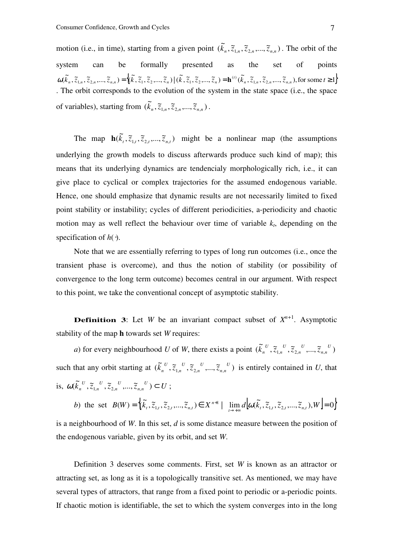motion (i.e., in time), starting from a given point  $(\tilde{k}_n, \tilde{z}_{1,n}, \tilde{z}_{2,n},..., \tilde{z}_{n,n})$ . The orbit of the system can be formally presented as the set of points  $\omega(\tilde{k}_n, \tilde{z}_{1,n}, \tilde{z}_{2,n},...,\tilde{z}_{n,n}) = \left\{ (\tilde{k}, \tilde{z}_1, \tilde{z}_2,..., \tilde{z}_n) \mid (\tilde{k}, \tilde{z}_1, \tilde{z}_2,..., \tilde{z}_n) = \mathbf{h}^{(t)}(\tilde{k}_n, \tilde{z}_{1,n}, \tilde{z}_{2,n},...,\tilde{z}_{n,n}) \text{, for some } t \geq 1 \right\}$ . The orbit corresponds to the evolution of the system in the state space (i.e., the space of variables), starting from  $(\widetilde{k}_n, \widetilde{z}_{1,n}, \widetilde{z}_{2,n},..., \widetilde{z}_{n,n})$ .

The map  $h(\tilde{k}_t, \tilde{z}_{1,t}, \tilde{z}_{2,t},..., \tilde{z}_{n,t})$  might be a nonlinear map (the assumptions underlying the growth models to discuss afterwards produce such kind of map); this means that its underlying dynamics are tendencialy morphologically rich, i.e., it can give place to cyclical or complex trajectories for the assumed endogenous variable. Hence, one should emphasize that dynamic results are not necessarily limited to fixed point stability or instability; cycles of different periodicities, a-periodicity and chaotic motion may as well reflect the behaviour over time of variable  $k_t$ , depending on the specification of *h*(⋅).

Note that we are essentially referring to types of long run outcomes (i.e., once the transient phase is overcome), and thus the notion of stability (or possibility of convergence to the long term outcome) becomes central in our argument. With respect to this point, we take the conventional concept of asymptotic stability.

**Definition 3:** Let *W* be an invariant compact subset of  $X^{n+1}$ . Asymptotic stability of the map **h** towards set *W* requires:

*a*) for every neighbourhood *U* of *W*, there exists a point  $(\tilde{k}_n^U, \tilde{z}_{1,n}^U, \tilde{z}_{2,n}^U, ..., \tilde{z}_{n,n}^U)$ *U nn U n U n U*  $k_n^{\;\;\prime\prime}$  ,  $\widetilde{z}_{1,n}^{\;\;\prime\prime}$  ,  $\widetilde{z}_{2,n}^{\;\;\prime\prime}$  ,…,  $\widetilde{z}$ such that any orbit starting at  $(\tilde{k}_n^U, \tilde{z}_{1,n}^U, \tilde{z}_{2,n}^U, ..., \tilde{z}_{n,n}^U)$ *U nn U n U n U*  $k_n^{\nu}$ ,  $\tilde{z}_{1,n}^{\nu}$ ,  $\tilde{z}_{2,n}^{\nu}$ ,  $\ldots$ ,  $\tilde{z}_{n,n}^{\nu}$ ) is entirely contained in *U*, that is,  $\omega(\tilde{k}_{n}^{U}, \tilde{z}_{1,n}^{U}, \tilde{z}_{2,n}^{U}, ..., \tilde{z}_{n,n}^{U}) \subset U$ *nn U n U n U*  $\omega(\tilde{k}_n^{U}, \tilde{z}_{1,n}^{U}, \tilde{z}_{2,n}^{U}, ..., \tilde{z}_{n,n}^{U}) \subset U$ ;

b) the set  $B(W) = \{(\tilde{k}_t, \tilde{z}_{1,t}, \tilde{z}_{2,t}, \dots, \tilde{z}_{n,t}) \in X^{n+1} \mid \lim_{t \to +\infty} d\left[\omega(\tilde{k}_t, \tilde{z}_{1,t}, \tilde{z}_{2,t}, \dots, \tilde{z}_{n,t}), W\right] = 0\}$ 

is a neighbourhood of *W*. In this set, *d* is some distance measure between the position of the endogenous variable, given by its orbit, and set *W*.

Definition 3 deserves some comments. First, set *W* is known as an attractor or attracting set, as long as it is a topologically transitive set. As mentioned, we may have several types of attractors, that range from a fixed point to periodic or a-periodic points. If chaotic motion is identifiable, the set to which the system converges into in the long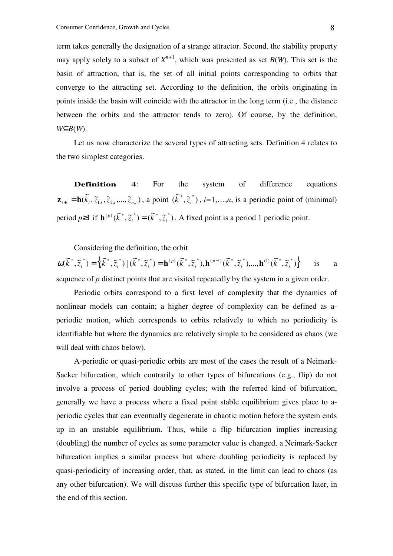term takes generally the designation of a strange attractor. Second, the stability property may apply solely to a subset of  $X^{n+1}$ , which was presented as set  $B(W)$ . This set is the basin of attraction, that is, the set of all initial points corresponding to orbits that converge to the attracting set. According to the definition, the orbits originating in points inside the basin will coincide with the attractor in the long term (i.e., the distance between the orbits and the attractor tends to zero). Of course, by the definition, *W*⊆*B*(*W*).

Let us now characterize the several types of attracting sets. Definition 4 relates to the two simplest categories.

**Definition 4:** For the system of difference equations  $\mathbf{z}_{t+1} = \mathbf{h}(\tilde{k}_t, \tilde{z}_{1,t}, \tilde{z}_{2,t}, ..., \tilde{z}_{n,t})$ , a point  $(\tilde{k}^*, \tilde{z}_i^*)$  $k^{\dagger}$ ,  $\tilde{z}_i^{\dagger}$ ),  $i=1,...,n$ , is a periodic point of (minimal) period  $p \ge 1$  if  $\mathbf{h}^{(p)}(\tilde{k}^*, \tilde{z}_i^*) = (\tilde{k}^*, \tilde{z}_i^*)$  $i \neq j$   $\in$   $\mathcal{N}$   $\mathcal{N}_i$  $\mathbf{h}^{(p)}(\vec{k}^*, \tilde{z}_i^*) = (\vec{k}^*, \tilde{z}_i^*)$ . A fixed point is a period 1 periodic point.

Considering the definition, the orbit

$$
\omega(\tilde{k}^*, \tilde{z}_i^*) = \left\{ (\tilde{k}^*, \tilde{z}_i^*) \mid (\tilde{k}^*, \tilde{z}_i^*) = \mathbf{h}^{(p)}(\tilde{k}^*, \tilde{z}_i^*), \mathbf{h}^{(p-1)}(\tilde{k}^*, \tilde{z}_i^*), \dots, \mathbf{h}^{(1)}(\tilde{k}^*, \tilde{z}_i^*) \right\}
$$
 is a sequence of *p* distinct points that are visited repeatedly by the system in a given order.

Periodic orbits correspond to a first level of complexity that the dynamics of nonlinear models can contain; a higher degree of complexity can be defined as aperiodic motion, which corresponds to orbits relatively to which no periodicity is identifiable but where the dynamics are relatively simple to be considered as chaos (we will deal with chaos below).

A-periodic or quasi-periodic orbits are most of the cases the result of a Neimark-Sacker bifurcation, which contrarily to other types of bifurcations (e.g., flip) do not involve a process of period doubling cycles; with the referred kind of bifurcation, generally we have a process where a fixed point stable equilibrium gives place to aperiodic cycles that can eventually degenerate in chaotic motion before the system ends up in an unstable equilibrium. Thus, while a flip bifurcation implies increasing (doubling) the number of cycles as some parameter value is changed, a Neimark-Sacker bifurcation implies a similar process but where doubling periodicity is replaced by quasi-periodicity of increasing order, that, as stated, in the limit can lead to chaos (as any other bifurcation). We will discuss further this specific type of bifurcation later, in the end of this section.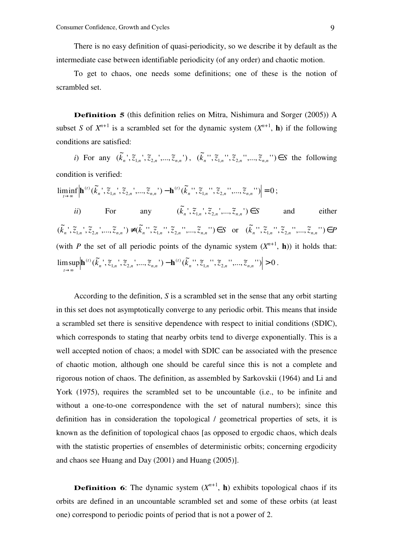There is no easy definition of quasi-periodicity, so we describe it by default as the intermediate case between identifiable periodicity (of any order) and chaotic motion.

To get to chaos, one needs some definitions; one of these is the notion of scrambled set.

**Definition 5** (this definition relies on Mitra, Nishimura and Sorger (2005)) A subset *S* of  $X^{n+1}$  is a scrambled set for the dynamic system  $(X^{n+1}, h)$  if the following conditions are satisfied:

*i*) For any  $(\tilde{k}_n^{\ \cdot}, \tilde{z}_{1,n}^{\ \cdot}, \tilde{z}_{2,n}^{\ \cdot}, ..., \tilde{z}_{n,n}^{\ \cdot})$ ,  $(\tilde{k}_n^{\ \cdot\cdot}, \tilde{z}_{1,n}^{\ \cdot\cdot}, \tilde{z}_{2,n}^{\ \cdot\cdot}, ..., \tilde{z}_{n,n}^{\ \cdot\cdot}) \in S$  the following condition is verified:

 $\liminf_{n \to \infty} \left| \mathbf{h}^{(t)}(\tilde{k}_n^{\, \prime}, \tilde{z}_{1,n}^{\, \prime}, \tilde{z}_{2,n}^{\, \prime},..., \tilde{z}_{n,n}^{\, \prime}) - \mathbf{h}^{(t)}(\tilde{k}_n^{\, \prime\, \prime}, \tilde{z}_{1,n}^{\, \prime\, \prime}, \tilde{z}_{2,n}^{\, \prime\, \prime},..., \tilde{z}_{n,n}^{\, \prime\, \prime}) \right| = 0$  $(t)$  $1, n \rightarrow 2, n \rightarrow \cdots, 4, n$  $\min_{\theta \to \infty} \left| \mathbf{h}^{(t)}(\tilde{k}_{n}^{'}', \tilde{z}_{1,n}^{'}', \tilde{z}_{2,n}^{'}',..., \tilde{z}_{n,n}^{'}') - \mathbf{h}^{(t)}(\tilde{k}_{n}^{'}', \tilde{z}_{1,n}^{'}', \tilde{z}_{2,n}^{'}',..., \tilde{z}_{n,n}^{'}') \right| =$ *t*  $n \rightarrow \sim_{1,n}$   $\sim_{2,n}$   $\cdots$ ,  $\sim_{n,n}$ *t*  $\min_{t\to\infty} \left| \mathbf{h}^{(t)}(k_n^{\prime}, \tilde{z}_{1,n}^{\prime}, \tilde{z}_{2,n}^{\prime}, ..., \tilde{z}_{n,n}^{\prime}) - \mathbf{h}^{(t)}(k_n^{\prime\prime}, \tilde{z}_{1,n}^{\prime\prime}, \tilde{z}_{2,n}^{\prime\prime}, ..., \tilde{z}_{n,n}^{\prime\prime}) \right| = 0;$ *ii*) For any  $(\tilde{k}_n^{\, \prime}, \tilde{z}_{1,n}^{\, \prime}, \tilde{z}_{2,n}^{\, \prime},..., \tilde{z}_{n,n}^{\, \prime}) \in S$  and either  $(\widetilde{k}_n^{\ \cdot},\widetilde{z}_{1,n}^{\ \cdot},\widetilde{z}_{2,n}^{\ \cdot},...,\widetilde{z}_{n,n}^{\ \cdot})\neq (\widetilde{k}_n^{\ \cdot\cdot},\widetilde{z}_{1,n}^{\ \cdot\cdot},\widetilde{z}_{2,n}^{\ \cdot\cdot},...,\widetilde{z}_{n,n}^{\ \cdot\cdot})\in S$  or  $(\widetilde{k}_n^{\ \cdot\cdot},\widetilde{z}_{1,n}^{\ \cdot\cdot},\widetilde{z}_{2,n}^{\ \cdot\cdot},...,\widetilde{z}_{n,n}^{\ \cdot\cdot})\in P$ (with *P* the set of all periodic points of the dynamic system  $(X^{n+1}, h)$ ) it holds that:  $\limsup_{n} \Big| {\bf h}^{(t)}(\tilde{k}_n^{\ \prime},\tilde{z}_{1,n}^{\ \prime},\tilde{z}_{2,n}^{\ \prime},...,\tilde{z}_{n,n}^{\ \prime}) - {\bf h}^{(t)}(\tilde{k}_n^{\ \prime\prime},\tilde{z}_{1,n}^{\ \prime\prime},\tilde{z}_{2,n}^{\ \prime\prime},...,\tilde{z}_{n,n}^{\ \prime\prime}) \Big| > 0$  $(t)$  $1, n \rightarrow \sim 2, n \rightarrow \cdots, \sim n,$  $\left| \begin{matrix} \tilde{(\tilde{k}}_n^-,\tilde{z}_{1,n}^-,\tilde{z}_{2,n}^-,\dots,\tilde{z}_{n,n}^- \end{matrix} \right| - \mathbf{h}^{(t)}(\tilde{k}_n^{\ ' \ '},\tilde{z}_{1,n}^{\ ' \ '},\tilde{z}_{2,n}^{\ ' \ '},\dots,\tilde{z}_{n,n}^{\ ' \ '}) \right| >$  $\lim_{n \to \infty} \left( \kappa_n, \kappa_{1,n}, \kappa_{2,n}, \ldots, \kappa_{n,n} \right)$  **ii**  $\left( \kappa_n, \kappa_{1,n}, \kappa_{2,n}, \ldots, \kappa_{n,n} \right)$ *t*  $n \rightarrow \sim_{1,n}$   $\sim_{2,n}$   $\cdots$ ,  $\sim_{n,n}$ *t t*  $\mathbf{h}^{(t)}(k_n^{\prime\prime}, \tilde{z}_{1,n}^{\prime\prime}, \tilde{z}_{2,n}^{\prime\prime}, ..., \tilde{z}_{n,n}^{\prime\prime}) - \mathbf{h}^{(t)}(k_n^{\prime\prime\prime}, \tilde{z}_{1,n}^{\prime\prime\prime}, \tilde{z}_{2,n}^{\prime\prime\prime}, ..., \tilde{z}_{n,n}^{\prime\prime\prime}) \geq 0$ .

According to the definition, *S* is a scrambled set in the sense that any orbit starting in this set does not asymptotically converge to any periodic orbit. This means that inside a scrambled set there is sensitive dependence with respect to initial conditions (SDIC), which corresponds to stating that nearby orbits tend to diverge exponentially. This is a well accepted notion of chaos; a model with SDIC can be associated with the presence of chaotic motion, although one should be careful since this is not a complete and rigorous notion of chaos. The definition, as assembled by Sarkovskii (1964) and Li and York (1975), requires the scrambled set to be uncountable (i.e., to be infinite and without a one-to-one correspondence with the set of natural numbers); since this definition has in consideration the topological / geometrical properties of sets, it is known as the definition of topological chaos [as opposed to ergodic chaos, which deals with the statistic properties of ensembles of deterministic orbits; concerning ergodicity and chaos see Huang and Day (2001) and Huang (2005)].

**Definition 6:** The dynamic system  $(X^{n+1}, h)$  exhibits topological chaos if its orbits are defined in an uncountable scrambled set and some of these orbits (at least one) correspond to periodic points of period that is not a power of 2.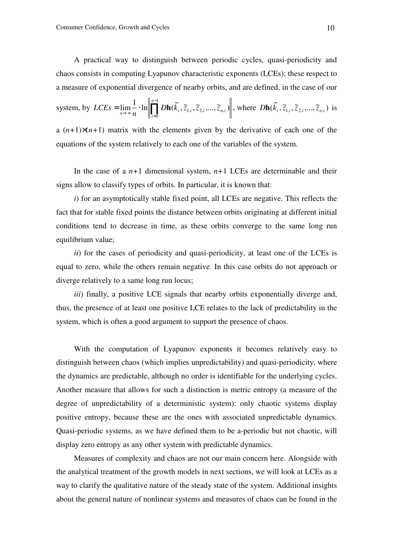A practical way to distinguish between periodic cycles, quasi-periodicity and chaos consists in computing Lyapunov characteristic exponents (LCEs); these respect to a measure of exponential divergence of nearby orbits, and are defined, in the case of our

system, by 
$$
LCEs = \lim_{n \to \infty} \frac{1}{n} \cdot \ln \left\| \prod_{i=0}^{n-1} Dh(\tilde{k}_i, \tilde{z}_{1,i}, \tilde{z}_{2,i}, \dots, \tilde{z}_{n,i}) \right\|
$$
, where 
$$
Dh(\tilde{k}_i, \tilde{z}_{1,i}, \tilde{z}_{2,i}, \dots, \tilde{z}_{n,i})
$$
 is

a  $(n+1)\times(n+1)$  matrix with the elements given by the derivative of each one of the equations of the system relatively to each one of the variables of the system.

In the case of a  $n+1$  dimensional system,  $n+1$  LCEs are determinable and their signs allow to classify types of orbits. In particular, it is known that:

*i*) for an asymptotically stable fixed point, all LCEs are negative. This reflects the fact that for stable fixed points the distance between orbits originating at different initial conditions tend to decrease in time, as these orbits converge to the same long run equilibrium value;

*ii*) for the cases of periodicity and quasi-periodicity, at least one of the LCEs is equal to zero, while the others remain negative. In this case orbits do not approach or diverge relatively to a same long run locus;

*iii*) finally, a positive LCE signals that nearby orbits exponentially diverge and, thus, the presence of at least one positive LCE relates to the lack of predictability in the system, which is often a good argument to support the presence of chaos.

With the computation of Lyapunov exponents it becomes relatively easy to distinguish between chaos (which implies unpredictability) and quasi-periodicity, where the dynamics are predictable, although no order is identifiable for the underlying cycles. Another measure that allows for such a distinction is metric entropy (a measure of the degree of unpredictability of a deterministic system): only chaotic systems display positive entropy, because these are the ones with associated unpredictable dynamics. Quasi-periodic systems, as we have defined them to be a-periodic but not chaotic, will display zero entropy as any other system with predictable dynamics.

Measures of complexity and chaos are not our main concern here. Alongside with the analytical treatment of the growth models in next sections, we will look at LCEs as a way to clarify the qualitative nature of the steady state of the system. Additional insights about the general nature of nonlinear systems and measures of chaos can be found in the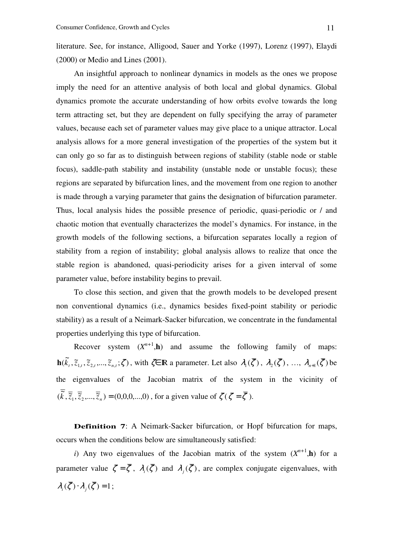literature. See, for instance, Alligood, Sauer and Yorke (1997), Lorenz (1997), Elaydi (2000) or Medio and Lines (2001).

An insightful approach to nonlinear dynamics in models as the ones we propose imply the need for an attentive analysis of both local and global dynamics. Global dynamics promote the accurate understanding of how orbits evolve towards the long term attracting set, but they are dependent on fully specifying the array of parameter values, because each set of parameter values may give place to a unique attractor. Local analysis allows for a more general investigation of the properties of the system but it can only go so far as to distinguish between regions of stability (stable node or stable focus), saddle-path stability and instability (unstable node or unstable focus); these regions are separated by bifurcation lines, and the movement from one region to another is made through a varying parameter that gains the designation of bifurcation parameter. Thus, local analysis hides the possible presence of periodic, quasi-periodic or / and chaotic motion that eventually characterizes the model's dynamics. For instance, in the growth models of the following sections, a bifurcation separates locally a region of stability from a region of instability; global analysis allows to realize that once the stable region is abandoned, quasi-periodicity arises for a given interval of some parameter value, before instability begins to prevail.

To close this section, and given that the growth models to be developed present non conventional dynamics (i.e., dynamics besides fixed-point stability or periodic stability) as a result of a Neimark-Sacker bifurcation, we concentrate in the fundamental properties underlying this type of bifurcation.

Recover system  $(X^{n+1}, h)$  and assume the following family of maps:  $\mathbf{h}(\tilde{k}_t, \tilde{z}_{1,t}, \tilde{z}_{2,t},..., \tilde{z}_{n,t}; \zeta)$ , with  $\zeta \in \mathbb{R}$  a parameter. Let also  $\lambda_1(\overline{\zeta})$ ,  $\lambda_2(\overline{\zeta})$ , ...,  $\lambda_{n+1}(\overline{\zeta})$  be the eigenvalues of the Jacobian matrix of the system in the vicinity of  $(\overline{\tilde{k}}, \overline{\tilde{z}}_1, \overline{\tilde{z}}_2, ..., \overline{\tilde{z}}_n) = (0,0,0,...,0)$ , for a given value of  $\zeta(\zeta = \overline{\zeta})$ .

**Definition 7**: A Neimark-Sacker bifurcation, or Hopf bifurcation for maps, occurs when the conditions below are simultaneously satisfied:

*i*) Any two eigenvalues of the Jacobian matrix of the system  $(X^{n+1}, h)$  for a parameter value  $\zeta = \zeta$ ,  $\lambda_i(\zeta)$  and  $\lambda_j(\zeta)$ , are complex conjugate eigenvalues, with  $\lambda_i(\zeta) \cdot \lambda_j(\zeta) = 1;$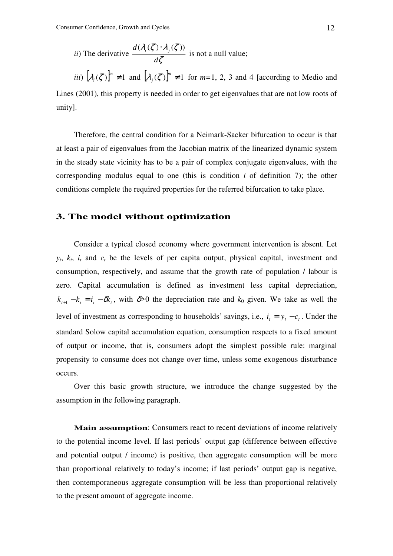*ii)* The derivative 
$$
\frac{d(\lambda_i(\overline{\zeta}) \cdot \lambda_j(\overline{\zeta}))}{d\zeta}
$$
 is not a null value;

*iii*)  $[\lambda_i(\overline{\zeta})]^m \neq 1$  and  $[\lambda_j(\overline{\zeta})]^m \neq 1$  for  $m=1, 2, 3$  and 4 [according to Medio and Lines (2001), this property is needed in order to get eigenvalues that are not low roots of unity].

Therefore, the central condition for a Neimark-Sacker bifurcation to occur is that at least a pair of eigenvalues from the Jacobian matrix of the linearized dynamic system in the steady state vicinity has to be a pair of complex conjugate eigenvalues, with the corresponding modulus equal to one (this is condition  $i$  of definition  $i$ ); the other conditions complete the required properties for the referred bifurcation to take place.

# **3. The model without optimization**

Consider a typical closed economy where government intervention is absent. Let  $y_t$ ,  $k_t$ ,  $i_t$  and  $c_t$  be the levels of per capita output, physical capital, investment and consumption, respectively, and assume that the growth rate of population / labour is zero. Capital accumulation is defined as investment less capital depreciation,  $k_{t+1} - k_t = i_t - \delta k_t$ , with  $\delta > 0$  the depreciation rate and  $k_0$  given. We take as well the level of investment as corresponding to households' savings, i.e.,  $i_t = y_t - c_t$ . Under the standard Solow capital accumulation equation, consumption respects to a fixed amount of output or income, that is, consumers adopt the simplest possible rule: marginal propensity to consume does not change over time, unless some exogenous disturbance occurs.

Over this basic growth structure, we introduce the change suggested by the assumption in the following paragraph.

**Main assumption**: Consumers react to recent deviations of income relatively to the potential income level. If last periods' output gap (difference between effective and potential output / income) is positive, then aggregate consumption will be more than proportional relatively to today's income; if last periods' output gap is negative, then contemporaneous aggregate consumption will be less than proportional relatively to the present amount of aggregate income.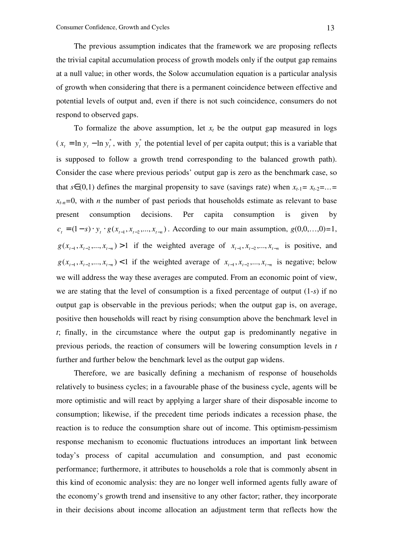The previous assumption indicates that the framework we are proposing reflects the trivial capital accumulation process of growth models only if the output gap remains at a null value; in other words, the Solow accumulation equation is a particular analysis of growth when considering that there is a permanent coincidence between effective and potential levels of output and, even if there is not such coincidence, consumers do not respond to observed gaps.

To formalize the above assumption, let  $x_t$  be the output gap measured in logs  $(x_t = \ln y_t - \ln y_t^*$ , with  $y_t^*$  the potential level of per capita output; this is a variable that is supposed to follow a growth trend corresponding to the balanced growth path). Consider the case where previous periods' output gap is zero as the benchmark case, so that  $s \in (0,1)$  defines the marginal propensity to save (savings rate) when  $x_{t-1} = x_{t-2} = ... =$  $x_{t-n}=0$ , with *n* the number of past periods that households estimate as relevant to base present consumption decisions. Per capita consumption is given by  $c_t = (1-s) \cdot y_t \cdot g(x_{t-1}, x_{t-2}, \dots, x_{t-n})$ . According to our main assumption,  $g(0,0,\dots,0)=1$ ,  $g(x_{t-1}, x_{t-2},..., x_{t-n}) > 1$  if the weighted average of  $x_{t-1}, x_{t-2},..., x_{t-n}$  is positive, and  $g(x_{t-1}, x_{t-2},..., x_{t-n}) < 1$  if the weighted average of  $x_{t-1}, x_{t-2},..., x_{t-n}$  is negative; below we will address the way these averages are computed. From an economic point of view, we are stating that the level of consumption is a fixed percentage of output (1-*s*) if no output gap is observable in the previous periods; when the output gap is, on average, positive then households will react by rising consumption above the benchmark level in *t*; finally, in the circumstance where the output gap is predominantly negative in previous periods, the reaction of consumers will be lowering consumption levels in *t* further and further below the benchmark level as the output gap widens.

Therefore, we are basically defining a mechanism of response of households relatively to business cycles; in a favourable phase of the business cycle, agents will be more optimistic and will react by applying a larger share of their disposable income to consumption; likewise, if the precedent time periods indicates a recession phase, the reaction is to reduce the consumption share out of income. This optimism-pessimism response mechanism to economic fluctuations introduces an important link between today's process of capital accumulation and consumption, and past economic performance; furthermore, it attributes to households a role that is commonly absent in this kind of economic analysis: they are no longer well informed agents fully aware of the economy's growth trend and insensitive to any other factor; rather, they incorporate in their decisions about income allocation an adjustment term that reflects how the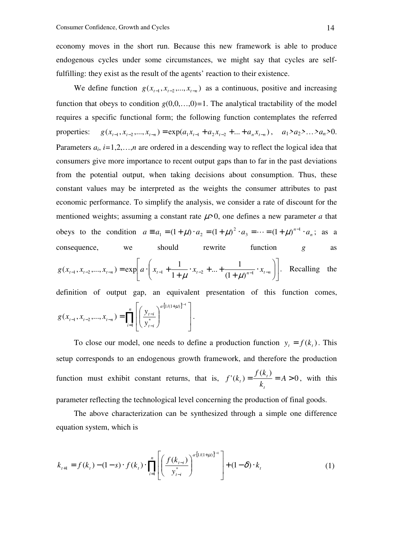economy moves in the short run. Because this new framework is able to produce endogenous cycles under some circumstances, we might say that cycles are selffulfilling: they exist as the result of the agents' reaction to their existence.

We define function  $g(x_{t-1}, x_{t-2},..., x_{t-n})$  as a continuous, positive and increasing function that obeys to condition  $g(0,0,...,0)=1$ . The analytical tractability of the model requires a specific functional form; the following function contemplates the referred properties:  $g(x_{t-1}, x_{t-2},..., x_{t-n}) = \exp(a_1x_{t-1} + a_2x_{t-2} + ... + a_nx_{t-n}), \quad a_1 > a_2 > ... > a_n > 0.$ Parameters  $a_i$ ,  $i=1,2,...,n$  are ordered in a descending way to reflect the logical idea that consumers give more importance to recent output gaps than to far in the past deviations from the potential output, when taking decisions about consumption. Thus, these constant values may be interpreted as the weights the consumer attributes to past economic performance. To simplify the analysis, we consider a rate of discount for the mentioned weights; assuming a constant rate  $\mu$  >0, one defines a new parameter *a* that obeys to the condition  $a = a_1 = (1 + \mu) \cdot a_2 = (1 + \mu)^2 \cdot a_3 = \dots = (1 + \mu)^{n-1} \cdot a_n$ 3 2  $a_1 = (1 + \mu) \cdot a_2 = (1 + \mu)^2 \cdot a_3 = \dots = (1 + \mu)^{n-1} \cdot a_n;$  as a consequence, we should rewrite function *g* as  $\overline{\phantom{a}}$ J 1  $\mathbf{r}$ L Г  $\overline{\phantom{a}}$ J  $\backslash$  $\overline{\phantom{a}}$  $\setminus$ ſ ⋅ +  $x_{t-2} + ... +$  $g(x_{t-1}, x_{t-2},..., x_{t-n}) = \exp\left[a \cdot \left(x_{t-1} + \frac{1}{1+\mu} \cdot x_{t-2} + ... + \frac{1}{(1+\mu)^{n-1}} \cdot x_{t-n}\right)\right]$ ... +  $\frac{1}{4}$ 1  $(x_{t-1}, x_{t-2},..., x_{t-n}) = \exp\left[a \cdot \left(x_{t-1} + \frac{1}{x_{t-1}}\right)\right]$  $\mu$   $(1+\mu)$ . Recalling the definition of output gap, an equivalent presentation of this function comes,  $[1/(1+\mu)]^i$  $\prod_{i=1}$  $\cdot$ [1/(1+ −  $\mathcal{L}_{t-1}, \mathcal{X}_{t-2},..., \mathcal{X}_{t-n}) = \prod_{i=1}^{\infty} \left| \frac{\mathcal{Y}_{t-i}}{\mathcal{Y}_{t-i}} \right|$  $\overline{\phantom{a}}$  $\rfloor$ 1  $\mathbf{r}$  $\mathbf{r}$ L  $\lceil$  $\overline{\phantom{a}}$ J  $\backslash$  $\overline{\phantom{a}}$ l ſ =  $\binom{n}{v}$   $\binom{a \cdot [1/(1+\mu)]^{i-1}}{v}$ *i a*  $t - i$  $\mathcal{X}_{t-1}, \mathcal{X}_{t-2},..., \mathcal{X}_{t-n}) = \prod \left| \frac{\mathcal{Y}_{t-i}}{\mathcal{X}_{t-i}} \right|$ *i y*  $g(x_{t-1}, x_{t-2},..., x_{t-n}) = \prod_{i=1}^{n} \left| \frac{y}{x_i} \right|$ 1  $1/(1+\mu)$  $1, \lambda_{t-2}, \ldots, \lambda_{t-n}$   $-11$  |  $\ldots$ 1  $(x_{t-1}, x_{t-2},..., x_{t-n})$ µ .

To close our model, one needs to define a production function  $y_t = f(k_t)$ . This setup corresponds to an endogenous growth framework, and therefore the production function must exhibit constant returns, that is,  $f'(k_1) = \frac{f(k_1)}{k_1} = A > 0$  $f(k_i) = \frac{f(k_i)}{1} = A >$ *k kf f k t t*  $t_{t}$ ) =  $\frac{J(\alpha_{t})}{L}$  = A > 0, with this parameter reflecting the technological level concerning the production of final goods.

The above characterization can be synthesized through a simple one difference equation system, which is

$$
k_{t+1} = f(k_t) - (1-s) \cdot f(k_t) \cdot \prod_{i=1}^{n} \left[ \left( \frac{f(k_{t-i})}{y_{t-i}^*} \right)^{a \cdot [1/(1+\mu)]^{i-1}} \right] + (1-\delta) \cdot k_t
$$
 (1)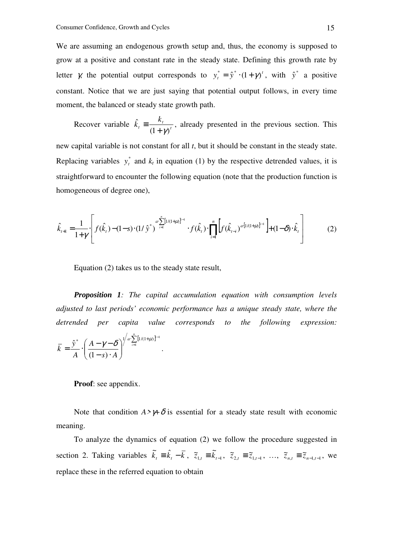We are assuming an endogenous growth setup and, thus, the economy is supposed to grow at a positive and constant rate in the steady state. Defining this growth rate by letter  $\chi$  the potential output corresponds to  $y_t^* = \hat{y}^* \cdot (1 + \gamma)^t$ , with  $\hat{y}^*$  a positive constant. Notice that we are just saying that potential output follows, in every time moment, the balanced or steady state growth path.

Recover variable  $k_t = \frac{n_t}{(1 + \alpha)^t}$ *t t k k*  $(1+\gamma)$ ˆ  $+$  γ $\overline{ }$  $\equiv \frac{m_t}{r}$ , already presented in the previous section. This

new capital variable is not constant for all *t*, but it should be constant in the steady state. Replacing variables  $y_t^*$  and  $k_t$  in equation (1) by the respective detrended values, it is straightforward to encounter the following equation (note that the production function is homogeneous of degree one),

$$
\hat{k}_{t+1} = \frac{1}{1+\gamma} \left[ f(\hat{k}_t) - (1-s) \cdot (1/\hat{y}^*)^{\alpha} \sum_{i=1}^n [1/(1+\mu)]^{i-1} \cdot f(\hat{k}_t) \cdot \prod_{i=1}^n \left[ f(\hat{k}_{t-i})^{\alpha} [1/(1+\mu)]^{i-1} \right] + (1-\delta) \cdot \hat{k}_t \right] \tag{2}
$$

Equation (2) takes us to the steady state result,

1

*.* 

*Proposition 1: The capital accumulation equation with consumption levels adjusted to last periods' economic performance has a unique steady state, where the detrended per capita value corresponds to the following expression:* 

$$
\overline{k} = \frac{\hat{y}^*}{A} \cdot \left(\frac{A - \gamma - \delta}{(1 - s) \cdot A}\right)^{\int_a^b \sum_{i=1}^n [1/(1 + \mu)]^i}
$$

**Proof**: see appendix.

Note that condition  $A > \gamma + \delta$  is essential for a steady state result with economic meaning.

To analyze the dynamics of equation (2) we follow the procedure suggested in section 2. Taking variables  $\tilde{k}_t = \hat{k}_t - \bar{k}$ ,  $\tilde{z}_{1,t} = \tilde{k}_{t-1}$ ,  $\tilde{z}_{2,t} = \tilde{z}_{1,t-1}$ , ...,  $\tilde{z}_{n,t} = \tilde{z}_{n-1,t-1}$ , we replace these in the referred equation to obtain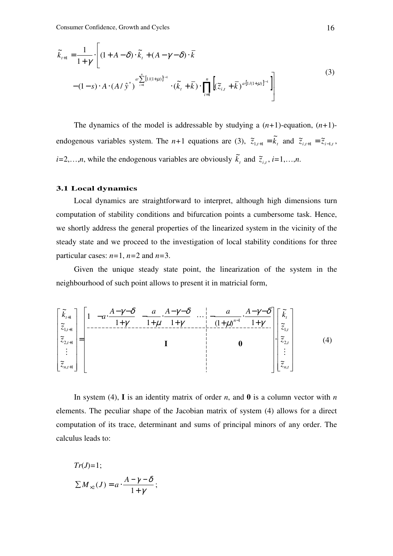$$
\widetilde{k}_{t+1} = \frac{1}{1+\gamma} \cdot \left[ (1+A-\delta) \cdot \widetilde{k}_t + (A-\gamma-\delta) \cdot \overline{k} \right]
$$
\n
$$
- (1-s) \cdot A \cdot (A/\hat{y}^*)^{a \sum_{i=1}^n [1/(1+\mu)]^{i-1}} \cdot (\widetilde{k}_t + \overline{k}) \cdot \prod_{i=1}^n \left[ (\widetilde{z}_{i,t} + \overline{k})^{a \cdot [1/(1+\mu)]^{i-1}} \right] \right]
$$
\n(3)

The dynamics of the model is addressable by studying a  $(n+1)$ -equation,  $(n+1)$ endogenous variables system. The *n*+1 equations are (3),  $\tilde{z}_{i,t+1} = \tilde{k}_t$  and  $\tilde{z}_{i,t+1} = \tilde{z}_{i-1,t}$ , *i*=2,…,*n*, while the endogenous variables are obviously  $\tilde{k}_t$  and  $\tilde{z}_{i,t}$ , *i*=1,…,*n*.

#### **3.1 Local dynamics**

Local dynamics are straightforward to interpret, although high dimensions turn computation of stability conditions and bifurcation points a cumbersome task. Hence, we shortly address the general properties of the linearized system in the vicinity of the steady state and we proceed to the investigation of local stability conditions for three particular cases: *n=*1, *n=*2 and *n=*3.

Given the unique steady state point, the linearization of the system in the neighbourhood of such point allows to present it in matricial form,

$$
\begin{bmatrix}\n\tilde{k}_{t+1} \\
\tilde{z}_{1,t+1} \\
\tilde{z}_{2,t+1} \\
\vdots \\
\tilde{z}_{n,t+1}\n\end{bmatrix} =\n\begin{bmatrix}\n1 & -a \cdot \frac{A - \gamma - \delta}{1 + \gamma} & -\frac{a}{1 + \mu} \cdot \frac{A - \gamma - \delta}{1 + \gamma} \\
- \frac{1 + \mu}{1 + \gamma} & \frac{1 + \gamma}{1 + \mu} \cdot \frac{A - \gamma - \delta}{1 + \mu} \\
\vdots \\
\tilde{z}_{n,t+1}\n\end{bmatrix}\n\begin{bmatrix}\n\tilde{k}_{t} \\
\tilde{z}_{1,t} \\
\tilde{z}_{2,t} \\
\vdots \\
\tilde{z}_{n,t}\n\end{bmatrix}
$$
\n(4)

In system (4), **I** is an identity matrix of order *n*, and **0** is a column vector with *n* elements. The peculiar shape of the Jacobian matrix of system (4) allows for a direct computation of its trace, determinant and sums of principal minors of any order. The calculus leads to:

$$
Tr(J)=1;
$$
  
\n
$$
\sum M_{\times 2}(J) = a \cdot \frac{A - \gamma - \delta}{1 + \gamma};
$$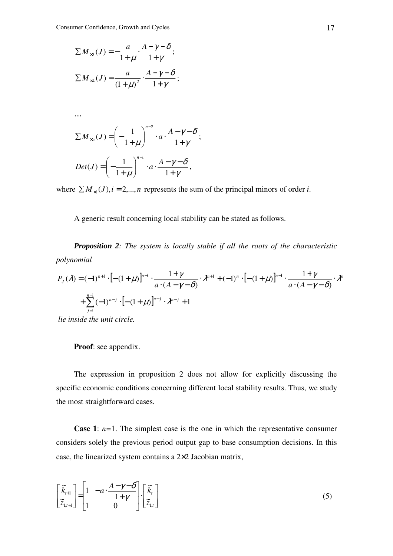$$
\sum M_{\times 3}(J) = -\frac{a}{1+\mu} \cdot \frac{A-\gamma-\delta}{1+\gamma};
$$
  
\n
$$
\sum M_{\times 4}(J) = \frac{a}{(1+\mu)^2} \cdot \frac{A-\gamma-\delta}{1+\gamma};
$$
  
\n...  
\n
$$
\sum M_{\times n}(J) = \left(-\frac{1}{1+\mu}\right)^{n-2} \cdot a \cdot \frac{A-\gamma-\delta}{1+\gamma};
$$
  
\n
$$
Det(J) = \left(-\frac{1}{1+\mu}\right)^{n-1} \cdot a \cdot \frac{A-\gamma-\delta}{1+\gamma},
$$

where  $\sum M_{\gamma i}(J)$ ,  $i = 2,...,n$  represents the sum of the principal minors of order *i*.

A generic result concerning local stability can be stated as follows.

*Proposition 2: The system is locally stable if all the roots of the characteristic polynomial* 

$$
P_{J}(\lambda) = (-1)^{n+1} \cdot \left[ -(1+\mu) \right]^{n-1} \cdot \frac{1+\gamma}{a \cdot (A-\gamma-\delta)} \cdot \lambda^{n+1} + (-1)^{n} \cdot \left[ -(1+\mu) \right]^{n-1} \cdot \frac{1+\gamma}{a \cdot (A-\gamma-\delta)} \cdot \lambda^{n+1}
$$
  
+ 
$$
\sum_{j=1}^{n-1} (-1)^{n-j} \cdot \left[ -(1+\mu) \right]^{n-j} \cdot \lambda^{n-j} + 1
$$

 *lie inside the unit circle.* 

### **Proof**: see appendix.

The expression in proposition 2 does not allow for explicitly discussing the specific economic conditions concerning different local stability results. Thus, we study the most straightforward cases.

**Case 1**:  $n=1$ . The simplest case is the one in which the representative consumer considers solely the previous period output gap to base consumption decisions. In this case, the linearized system contains a 2×2 Jacobian matrix,

$$
\begin{bmatrix} \tilde{k}_{t+1} \\ \tilde{z}_{t,t+1} \end{bmatrix} = \begin{bmatrix} 1 & -a \cdot \frac{A - \gamma - \delta}{1 + \gamma} \\ 1 & 0 \end{bmatrix} \cdot \begin{bmatrix} \tilde{k}_t \\ \tilde{z}_{t,t} \end{bmatrix}
$$
 (5)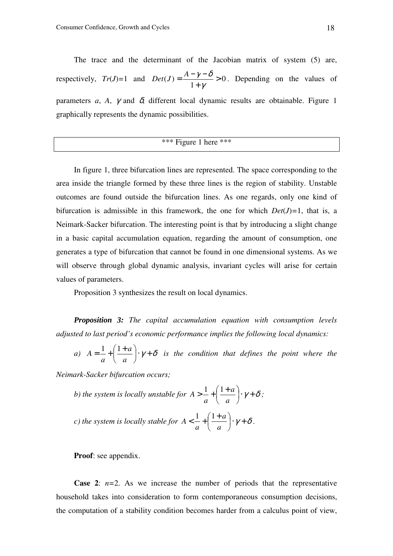The trace and the determinant of the Jacobian matrix of system (5) are, respectively,  $Tr(J)=1$  and  $Det(J)=\frac{N}{1-\frac{1}{2}} > 0$ 1  $(J) = \frac{11}{1}$ +  $=\frac{A-\gamma$ γ  $Det(J) = \frac{A - \gamma - \delta}{I} > 0$ . Depending on the values of parameters *a*, *A*,  $\gamma$  and  $\delta$ , different local dynamic results are obtainable. Figure 1 graphically represents the dynamic possibilities.

\*\*\* Figure 1 here \*\*\*

In figure 1, three bifurcation lines are represented. The space corresponding to the area inside the triangle formed by these three lines is the region of stability. Unstable outcomes are found outside the bifurcation lines. As one regards, only one kind of bifurcation is admissible in this framework, the one for which  $Det(J)=1$ , that is, a Neimark-Sacker bifurcation. The interesting point is that by introducing a slight change in a basic capital accumulation equation, regarding the amount of consumption, one generates a type of bifurcation that cannot be found in one dimensional systems. As we will observe through global dynamic analysis, invariant cycles will arise for certain values of parameters.

Proposition 3 synthesizes the result on local dynamics.

*Proposition 3: The capital accumulation equation with consumption levels adjusted to last period's economic performance implies the following local dynamics:* 

*a*)  $A = \frac{1}{\epsilon} + \frac{1}{\epsilon} \cdot \frac{a}{\epsilon} + \gamma + \delta$ J  $\left(\frac{1+a}{a}\right)$ l  $=\frac{1}{-}+\left(\frac{1+}{2}\right)$ *a a a*  $A = \frac{1}{1+a} \cdot \gamma + \delta$  is the condition that defines the point where the

*Neimark-Sacker bifurcation occurs;* 

b) the system is locally unstable for 
$$
A > \frac{1}{a} + \left(\frac{1+a}{a}\right) \cdot \gamma + \delta
$$
;  
c) the system is locally stable for  $A < \frac{1}{a} + \left(\frac{1+a}{a}\right) \cdot \gamma + \delta$ .

**Proof**: see appendix.

**Case 2:**  $n=2$ . As we increase the number of periods that the representative household takes into consideration to form contemporaneous consumption decisions, the computation of a stability condition becomes harder from a calculus point of view,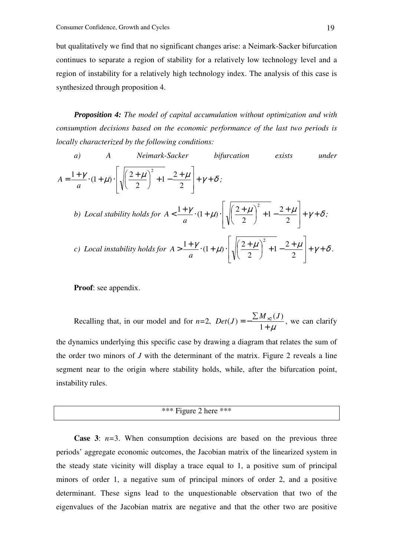but qualitatively we find that no significant changes arise: a Neimark-Sacker bifurcation continues to separate a region of stability for a relatively low technology level and a region of instability for a relatively high technology index. The analysis of this case is synthesized through proposition 4.

*Proposition 4: The model of capital accumulation without optimization and with consumption decisions based on the economic performance of the last two periods is locally characterized by the following conditions:* 

a) A Neimark-Sacker bifurcation exists under  
\n
$$
A = \frac{1+\gamma}{a} \cdot (1+\mu) \cdot \left[ \sqrt{\left(\frac{2+\mu}{2}\right)^2 + 1} - \frac{2+\mu}{2} \right] + \gamma + \delta ;
$$
\nb) Local stability holds for  $A < \frac{1+\gamma}{a} \cdot (1+\mu) \cdot \left[ \sqrt{\left(\frac{2+\mu}{2}\right)^2 + 1} - \frac{2+\mu}{2} \right] + \gamma + \delta ;$   
\nc) Local instability holds for  $A > \frac{1+\gamma}{a} \cdot (1+\mu) \cdot \left[ \sqrt{\left(\frac{2+\mu}{2}\right)^2 + 1} - \frac{2+\mu}{2} \right] + \gamma + \delta.$ 

**Proof**: see appendix.

Recalling that, in our model and for *n=*2,  $+ \mu$ ∑  $=-\frac{\sum m_{x}}{x}$ 1  $Det(J) = -\frac{\sum M_{\gamma 2}(J)}{I}$ , we can clarify

the dynamics underlying this specific case by drawing a diagram that relates the sum of the order two minors of *J* with the determinant of the matrix. Figure 2 reveals a line segment near to the origin where stability holds, while, after the bifurcation point, instability rules.

# \*\*\* Figure 2 here \*\*\*

**Case 3:**  $n=3$ . When consumption decisions are based on the previous three periods' aggregate economic outcomes, the Jacobian matrix of the linearized system in the steady state vicinity will display a trace equal to 1, a positive sum of principal minors of order 1, a negative sum of principal minors of order 2, and a positive determinant. These signs lead to the unquestionable observation that two of the eigenvalues of the Jacobian matrix are negative and that the other two are positive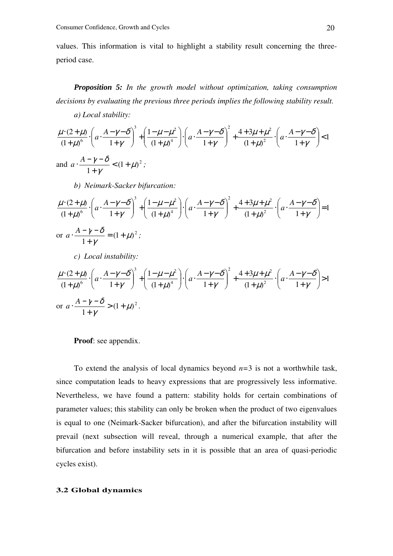values. This information is vital to highlight a stability result concerning the threeperiod case.

*Proposition 5: In the growth model without optimization, taking consumption decisions by evaluating the previous three periods implies the following stability result.* 

*a) Local stability:* 

$$
\frac{\mu \cdot (2+\mu)}{(1+\mu)^6} \cdot \left( a \cdot \frac{A-\gamma-\delta}{1+\gamma} \right)^3 + \left( \frac{1-\mu-\mu^2}{(1+\mu)^4} \right) \cdot \left( a \cdot \frac{A-\gamma-\delta}{1+\gamma} \right)^2 + \frac{4+3\mu+\mu^2}{(1+\mu)^2} \cdot \left( a \cdot \frac{A-\gamma-\delta}{1+\gamma} \right) < 1
$$
\nand

\n
$$
a \cdot \frac{A-\gamma-\delta}{1+\gamma} < (1+\mu)^2;
$$

*b) Neimark-Sacker bifurcation:* 

$$
\frac{\mu \cdot (2+\mu)}{(1+\mu)^6} \cdot \left(a \cdot \frac{A-\gamma-\delta}{1+\gamma}\right)^3 + \left(\frac{1-\mu-\mu^2}{(1+\mu)^4}\right) \cdot \left(a \cdot \frac{A-\gamma-\delta}{1+\gamma}\right)^2 + \frac{4+3\mu+\mu^2}{(1+\mu)^2} \cdot \left(a \cdot \frac{A-\gamma-\delta}{1+\gamma}\right) = 1
$$
  
or 
$$
a \cdot \frac{A-\gamma-\delta}{1+\gamma} = (1+\mu)^2 ;
$$

*c) Local instability:* 

$$
\frac{\mu \cdot (2+\mu)}{(1+\mu)^6} \cdot \left( a \cdot \frac{A-\gamma-\delta}{1+\gamma} \right)^3 + \left( \frac{1-\mu-\mu^2}{(1+\mu)^4} \right) \cdot \left( a \cdot \frac{A-\gamma-\delta}{1+\gamma} \right)^2 + \frac{4+3\mu+\mu^2}{(1+\mu)^2} \cdot \left( a \cdot \frac{A-\gamma-\delta}{1+\gamma} \right) > 1
$$
  
or 
$$
a \cdot \frac{A-\gamma-\delta}{1+\gamma} > (1+\mu)^2.
$$

**Proof**: see appendix.

To extend the analysis of local dynamics beyond *n=*3 is not a worthwhile task, since computation leads to heavy expressions that are progressively less informative. Nevertheless, we have found a pattern: stability holds for certain combinations of parameter values; this stability can only be broken when the product of two eigenvalues is equal to one (Neimark-Sacker bifurcation), and after the bifurcation instability will prevail (next subsection will reveal, through a numerical example, that after the bifurcation and before instability sets in it is possible that an area of quasi-periodic cycles exist).

### **3.2 Global dynamics**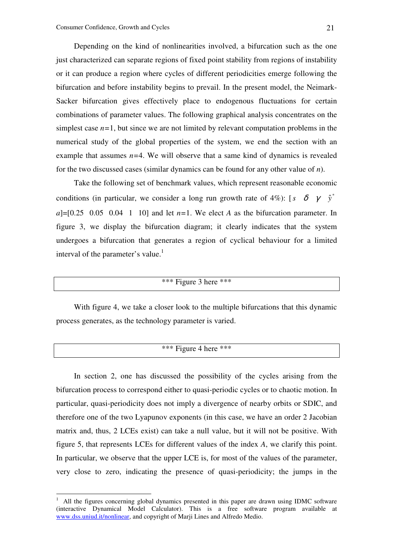Depending on the kind of nonlinearities involved, a bifurcation such as the one just characterized can separate regions of fixed point stability from regions of instability or it can produce a region where cycles of different periodicities emerge following the bifurcation and before instability begins to prevail. In the present model, the Neimark-Sacker bifurcation gives effectively place to endogenous fluctuations for certain combinations of parameter values. The following graphical analysis concentrates on the simplest case  $n=1$ , but since we are not limited by relevant computation problems in the numerical study of the global properties of the system, we end the section with an example that assumes  $n=4$ . We will observe that a same kind of dynamics is revealed for the two discussed cases (similar dynamics can be found for any other value of *n*).

Take the following set of benchmark values, which represent reasonable economic conditions (in particular, we consider a long run growth rate of 4%): [ $s \delta \gamma \hat{y}^*$  $a$ ]=[0.25 0.05 0.04 1 10] and let  $n=1$ . We elect *A* as the bifurcation parameter. In figure 3, we display the bifurcation diagram; it clearly indicates that the system undergoes a bifurcation that generates a region of cyclical behaviour for a limited interval of the parameter's value.<sup>1</sup>

# \*\*\* Figure 3 here \*\*\*

With figure 4, we take a closer look to the multiple bifurcations that this dynamic process generates, as the technology parameter is varied.

# \*\*\* Figure 4 here \*\*\*

In section 2, one has discussed the possibility of the cycles arising from the bifurcation process to correspond either to quasi-periodic cycles or to chaotic motion. In particular, quasi-periodicity does not imply a divergence of nearby orbits or SDIC, and therefore one of the two Lyapunov exponents (in this case, we have an order 2 Jacobian matrix and, thus, 2 LCEs exist) can take a null value, but it will not be positive. With figure 5, that represents LCEs for different values of the index *A*, we clarify this point. In particular, we observe that the upper LCE is, for most of the values of the parameter, very close to zero, indicating the presence of quasi-periodicity; the jumps in the

 $\overline{a}$ 

<sup>1</sup> All the figures concerning global dynamics presented in this paper are drawn using IDMC software (interactive Dynamical Model Calculator). This is a free software program available at www.dss.uniud.it/nonlinear, and copyright of Marji Lines and Alfredo Medio.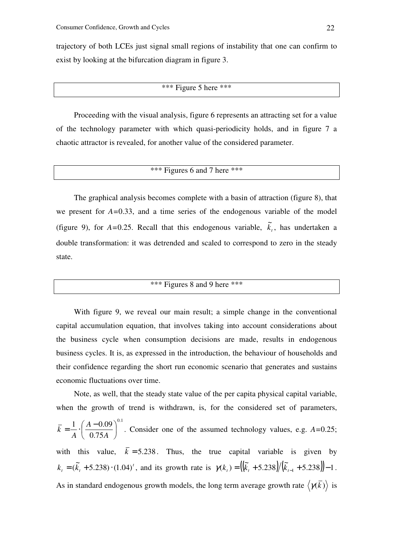trajectory of both LCEs just signal small regions of instability that one can confirm to exist by looking at the bifurcation diagram in figure 3.

## \*\*\* Figure 5 here \*\*\*

Proceeding with the visual analysis, figure 6 represents an attracting set for a value of the technology parameter with which quasi-periodicity holds, and in figure 7 a chaotic attractor is revealed, for another value of the considered parameter.

# \*\*\* Figures 6 and 7 here \*\*\*

The graphical analysis becomes complete with a basin of attraction (figure 8), that we present for *A=*0.33, and a time series of the endogenous variable of the model (figure 9), for  $A=0.25$ . Recall that this endogenous variable,  $\tilde{k}_t$ , has undertaken a double transformation: it was detrended and scaled to correspond to zero in the steady state.

# \*\*\* Figures 8 and 9 here \*\*\*

With figure 9, we reveal our main result; a simple change in the conventional capital accumulation equation, that involves taking into account considerations about the business cycle when consumption decisions are made, results in endogenous business cycles. It is, as expressed in the introduction, the behaviour of households and their confidence regarding the short run economic scenario that generates and sustains economic fluctuations over time.

Note, as well, that the steady state value of the per capita physical capital variable, when the growth of trend is withdrawn, is, for the considered set of parameters,  $0.1$ 0.75  $\frac{1}{1}$ .  $\left( \frac{A - 0.09}{2.000} \right)$ J  $\left(\frac{A-0.09}{2.00} \right)$ l  $=\frac{1}{4}$   $\cdot \left( \frac{A-1}{2} \right)$ *A A A*  $k = \frac{1}{k} \left| \frac{A - 0.695}{0.55 \cdot k} \right|$ . Consider one of the assumed technology values, e.g.  $A = 0.25$ ; with this value,  $\overline{k} = 5.238$ . Thus, the true capital variable is given by *t*  $k_{t} = (\tilde{k}_{t} + 5.238) \cdot (1.04)^{t}$ , and its growth rate is  $\gamma(k_{t}) = ((\tilde{k}_{t} + 5.238)/(\tilde{k}_{t-1} + 5.238)) - 1$ . As in standard endogenous growth models, the long term average growth rate  $\langle \gamma(\vec{k}) \rangle$  is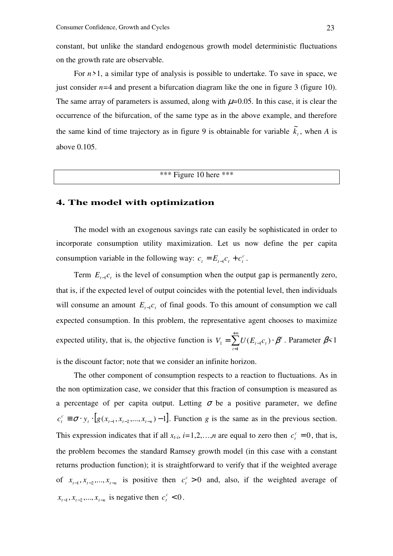constant, but unlike the standard endogenous growth model deterministic fluctuations on the growth rate are observable.

For *n>*1, a similar type of analysis is possible to undertake. To save in space, we just consider  $n=4$  and present a bifurcation diagram like the one in figure 3 (figure 10). The same array of parameters is assumed, along with  $\mu$ =0.05. In this case, it is clear the occurrence of the bifurcation, of the same type as in the above example, and therefore the same kind of time trajectory as in figure 9 is obtainable for variable  $\tilde{k}_t$ , when *A* is above 0.105.

# \*\*\* Figure 10 here \*\*\*

# **4. The model with optimization**

The model with an exogenous savings rate can easily be sophisticated in order to incorporate consumption utility maximization. Let us now define the per capita consumption variable in the following way:  $c_t = E_{t-1}c_t + c_t^c$ .

Term  $E_{t-1}c_t$  is the level of consumption when the output gap is permanently zero, that is, if the expected level of output coincides with the potential level, then individuals will consume an amount  $E_{t-1}c_t$  of final goods. To this amount of consumption we call expected consumption. In this problem, the representative agent chooses to maximize expected utility, that is, the objective function is  $V_1 = \sum U(E_{t-1}c_t) \cdot \beta^t$ *t*  $V_1 = \sum_{t=1}^{+\infty} U(E_{t-1}c_t) \cdot \beta$ = − 1  $\mathcal{L}_1 = \sum U(E_{t-1}c_t) \cdot \boldsymbol{\beta}^t$ . Parameter  $\boldsymbol{\beta} < 1$ is the discount factor; note that we consider an infinite horizon.

The other component of consumption respects to a reaction to fluctuations. As in the non optimization case, we consider that this fraction of consumption is measured as a percentage of per capita output. Letting  $\sigma$  be a positive parameter, we define  $\sigma$ <sup>c</sup>  $\equiv \sigma \cdot y_i \cdot [g(x_{t-1}, x_{t-2},..., x_{t-n})-1]$  $c_t^c \equiv \sigma \cdot y_t \cdot [g(x_{t-1}, x_{t-2},...,x_{t-n})-1]$ . Function *g* is the same as in the previous section. This expression indicates that if all  $x_t$ ,  $i=1,2,...,n$  are equal to zero then  $c_t^c = 0$  $c_t^c = 0$ , that is, the problem becomes the standard Ramsey growth model (in this case with a constant returns production function); it is straightforward to verify that if the weighted average of  $x_{t-1}, x_{t-2},..., x_{t-n}$  is positive then  $c_t^c > 0$  $c_t^c > 0$  and, also, if the weighted average of  $x_{t-1}, x_{t-2},..., x_{t-n}$  is negative then  $c_t^c < 0$  $c_t^c < 0$ .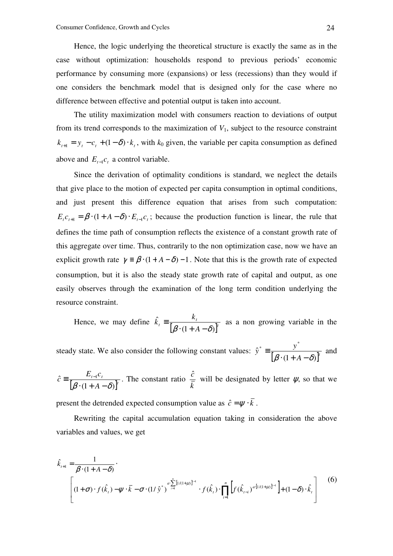Hence, the logic underlying the theoretical structure is exactly the same as in the case without optimization: households respond to previous periods' economic performance by consuming more (expansions) or less (recessions) than they would if one considers the benchmark model that is designed only for the case where no difference between effective and potential output is taken into account.

The utility maximization model with consumers reaction to deviations of output from its trend corresponds to the maximization of  $V_1$ , subject to the resource constraint  $k_{t+1} = y_t - c_t + (1 - \delta) \cdot k_t$ , with  $k_0$  given, the variable per capita consumption as defined above and  $E_{t-1}c_t$  a control variable.

Since the derivation of optimality conditions is standard, we neglect the details that give place to the motion of expected per capita consumption in optimal conditions, and just present this difference equation that arises from such computation:  $E_t c_{t+1} = \beta \cdot (1 + A - \delta) \cdot E_{t-1} c_t$ ; because the production function is linear, the rule that defines the time path of consumption reflects the existence of a constant growth rate of this aggregate over time. Thus, contrarily to the non optimization case, now we have an explicit growth rate  $\gamma = \beta \cdot (1 + A - \delta) - 1$ . Note that this is the growth rate of expected consumption, but it is also the steady state growth rate of capital and output, as one easily observes through the examination of the long term condition underlying the resource constraint.

Hence, we may define  $\hat{k}_t = \frac{k_t}{\left[\beta \cdot (1 + A - \delta)\right]^t}$  $\mu$ <sup>t</sup>  $\beta$  · (1 + A *k k*  $(1+A-\delta)$ ˆ  $\beta \cdot (1 + A - \delta)$  $\equiv \frac{m_t}{\sqrt{2\pi}}$  as a non growing variable in the

steady state. We also consider the following constant values:  $\hat{y}^* = \frac{y}{\left[\beta \cdot (1 + A - \delta)\right]^t}$  $\hat{y}^* = \frac{y}{\sqrt{2\pi}}$  $(1+A-\delta)$ ˆ \*  $y^*$  $\beta \cdot (1 + A - \delta)$  $\equiv \frac{y}{\sqrt{2\pi}}$  and

$$
\hat{c} = \frac{E_{t-1}c_t}{\left[\beta \cdot (1 + A - \delta)\right]^t}
$$
. The constant ratio  $\frac{\hat{c}}{k}$  will be designated by letter  $\psi$ , so that we

present the detrended expected consumption value as  $\hat{c} = \psi \cdot \overline{k}$ .

Rewriting the capital accumulation equation taking in consideration the above variables and values, we get

$$
\hat{k}_{t+1} = \frac{1}{\beta \cdot (1 + A - \delta)}.
$$
\n
$$
\left[ (1 + \sigma) \cdot f(\hat{k}_t) - \psi \cdot \overline{k} - \sigma \cdot (1/\hat{y}^*)^{a \sum_{i=1}^n [1/(1+\mu)]^{i-1}} \cdot f(\hat{k}_t) \cdot \prod_{i=1}^n \left[ f(\hat{k}_{t-i})^{a \cdot [1/(1+\mu)]^{i-1}} \right] + (1 - \delta) \cdot \hat{k}_t \right]
$$
\n(6)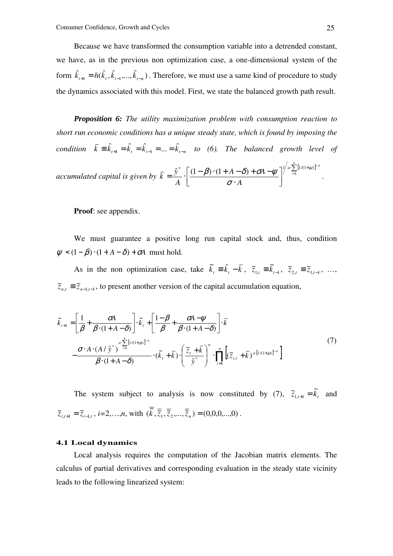Because we have transformed the consumption variable into a detrended constant, we have, as in the previous non optimization case, a one-dimensional system of the form  $\hat{k}_{t+1} = h(\hat{k}_t, \hat{k}_{t-1},...,\hat{k}_{t-n})$ . Therefore, we must use a same kind of procedure to study the dynamics associated with this model. First, we state the balanced growth path result.

*Proposition 6: The utility maximization problem with consumption reaction to short run economic conditions has a unique steady state, which is found by imposing the condition*  $\bar{k} = \hat{k}_{t+1} = \hat{k}_{t} = \hat{k}_{t-1} = ... = \hat{k}_{t-n}$  to (6). The balanced growth level of *accumulated capital is given by*   $\sum_{ }^{\infty}[1/(1+\mu)]^{i}$  $\rfloor$ 1 L Г ⋅  $=\frac{\hat{y}}{\hat{y}}\cdot\left(\frac{(1-\beta)\cdot(1+A-\delta)+\sigma A-\psi}{\hat{y}}\right)^{n/2}$  $-\sum_{n=1}^{n} [1/(1+\mu)]^{i-1}$ *i*  $a \sum [1/(1+\mu)]^i$ *A*  $(A - \delta) + \sigma A$ *A*  $\bar{k} = \frac{\hat{y}^*}{4} \cdot \left( \frac{(1-\beta) \cdot (1+A-\delta) + \sigma A - \psi}{4} \right)^{4/2}$  $\hat{\mathbf{y}}^* \left[ (1-\beta) \cdot (1+A-\delta) + \sigma A - \psi \right]^{1/a} \sum_{i=1}^{\lfloor (1/(1+\mu))^{i-1} \rfloor}$ σ  $\beta$ )  $\cdot$   $(1 + A - \delta)$  +  $\sigma$ A -  $\psi$   $\bigg|$ <sup>n</sup>  $\sum_{i=1}^{N}$   $\prod_{i=1}^{N}$  .

**Proof**: see appendix.

We must guarantee a positive long run capital stock and, thus, condition  $\psi$  <  $(1-\beta) \cdot (1+A-\delta) + \sigma A$  must hold.

As in the non optimization case, take  $\tilde{k}_t = \hat{k}_t - \bar{k}$ ,  $\tilde{z}_{1,t} = \tilde{k}_{t-1}$ ,  $\tilde{z}_{2,t} = \tilde{z}_{1,t-1}$ , ...,  $\tilde{z}_{n,t} \equiv \tilde{z}_{n-1,t-1}$ , to present another version of the capital accumulation equation,

$$
\widetilde{k}_{t+1} = \left[\frac{1}{\beta} + \frac{\sigma A}{\beta \cdot (1 + A - \delta)}\right] \cdot \widetilde{k}_t + \left[\frac{1 - \beta}{\beta} + \frac{\sigma A - \psi}{\beta \cdot (1 + A - \delta)}\right] \cdot \overline{k}
$$
\n
$$
-\frac{\sigma \cdot A \cdot (A / \hat{y}^*)}{\beta \cdot (1 + A - \delta)} \cdot (\widetilde{k}_t + \overline{k}) \cdot \left(\frac{\widetilde{z}_t + \overline{k}}{\hat{y}^*}\right)^a \cdot \prod_{i=1}^n \left[(\widetilde{z}_{i,t} + \overline{k})^{a \cdot [1/(1 + \mu)]^{i-1}}\right]
$$
\n(7)

The system subject to analysis is now constituted by (7),  $\tilde{z}_{1,t+1} = \tilde{k}_t$  and  $\tilde{z}_{i,t+1} = \tilde{z}_{i-1,t}$ ,  $i=2,...,n$ , with  $(\overline{\tilde{k}}, \overline{\tilde{z}}_1, \overline{\tilde{z}}_2,..., \overline{\tilde{z}}_n) = (0,0,0,...,0)$ .

#### **4.1 Local dynamics**

Local analysis requires the computation of the Jacobian matrix elements. The calculus of partial derivatives and corresponding evaluation in the steady state vicinity leads to the following linearized system: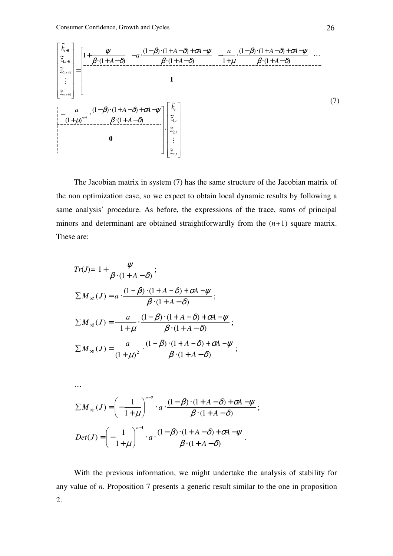$$
\begin{bmatrix}\n\tilde{k}_{i+1} \\
\tilde{z}_{i,i+1} \\
\tilde{z}_{i,i+1} \\
\tilde{z}_{i+1} \\
\vdots \\
\tilde{z}_{n,i+1}\n\end{bmatrix} =\n\begin{bmatrix}\n1 + \frac{\psi}{\beta \cdot (1 + A - \delta)} - a \cdot \frac{(1 - \beta) \cdot (1 + A - \delta) + \sigma A - \psi}{\beta \cdot (1 + A - \delta)} - \frac{a}{1 + \mu} \cdot \frac{(1 - \beta) \cdot (1 + A - \delta) + \sigma A - \psi}{\beta \cdot (1 + A - \delta)} \\
\vdots \\
\tilde{z}_{n,i+1}\n\end{bmatrix} \cdot \begin{bmatrix}\n\tilde{k}_{i} \\
\tilde{z}_{i+1} \\
\tilde{z}_{i+1} \\
\tilde{z}_{i+1} \\
\tilde{z}_{i+1} \\
\tilde{z}_{i+1} \\
\tilde{z}_{i+1} \\
\tilde{z}_{i+1}\n\end{bmatrix}
$$
\n(7)

The Jacobian matrix in system (7) has the same structure of the Jacobian matrix of the non optimization case, so we expect to obtain local dynamic results by following a same analysis' procedure. As before, the expressions of the trace, sums of principal minors and determinant are obtained straightforwardly from the (*n+*1) square matrix. These are:

$$
Tr(J) = 1 + \frac{\psi}{\beta \cdot (1 + A - \delta)};
$$
  
\n
$$
\sum M_{\times 2}(J) = a \cdot \frac{(1 - \beta) \cdot (1 + A - \delta) + \sigma A - \psi}{\beta \cdot (1 + A - \delta)};
$$
  
\n
$$
\sum M_{\times 3}(J) = -\frac{a}{1 + \mu} \cdot \frac{(1 - \beta) \cdot (1 + A - \delta) + \sigma A - \psi}{\beta \cdot (1 + A - \delta)};
$$
  
\n
$$
\sum M_{\times 4}(J) = \frac{a}{(1 + \mu)^2} \cdot \frac{(1 - \beta) \cdot (1 + A - \delta) + \sigma A - \psi}{\beta \cdot (1 + A - \delta)};
$$

…

$$
\sum M_{\times n}(J) = \left(-\frac{1}{1+\mu}\right)^{n-2} \cdot a \cdot \frac{(1-\beta)\cdot(1+A-\delta)+\sigma A-\psi}{\beta\cdot(1+A-\delta)};
$$
  

$$
Det(J) = \left(-\frac{1}{1+\mu}\right)^{n-1} \cdot a \cdot \frac{(1-\beta)\cdot(1+A-\delta)+\sigma A-\psi}{\beta\cdot(1+A-\delta)}.
$$

With the previous information, we might undertake the analysis of stability for any value of *n*. Proposition 7 presents a generic result similar to the one in proposition 2.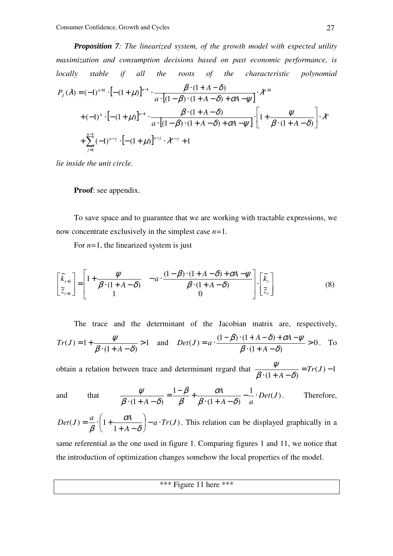*Proposition 7: The linearized system, of the growth model with expected utility maximization and consumption decisions based on past economic performance, is locally stable if all the roots of the characteristic polynomial* 

$$
P_{J}(\lambda) = (-1)^{n+1} \cdot \left[ -(1+\mu) \right]^{n-1} \cdot \frac{\beta \cdot (1+A-\delta)}{a \cdot [(1-\beta) \cdot (1+A-\delta) + \sigma A - \psi]} \cdot \lambda^{n+1}
$$
  
+  $(-1)^{n} \cdot \left[ -(1+\mu) \right]^{n-1} \cdot \frac{\beta \cdot (1+A-\delta)}{a \cdot [(1-\beta) \cdot (1+A-\delta) + \sigma A - \psi]} \cdot \left[ 1 + \frac{\psi}{\beta \cdot (1+A-\delta)} \right] \cdot \lambda^{n+1}$   
+  $\sum_{j=1}^{n-1} (-1)^{n-j} \cdot \left[ -(1+\mu) \right]^{n-j} \cdot \lambda^{n-j} + 1$ 

*lie inside the unit circle.* 

### **Proof**: see appendix.

To save space and to guarantee that we are working with tractable expressions, we now concentrate exclusively in the simplest case *n=*1.

For  $n=1$ , the linearized system is just

$$
\begin{bmatrix} \tilde{k}_{t+1} \\ \tilde{z}_{t+1} \end{bmatrix} = \begin{bmatrix} 1 + \frac{\psi}{\beta \cdot (1 + A - \delta)} & -a \cdot \frac{(1 - \beta) \cdot (1 + A - \delta) + \sigma A - \psi}{\beta \cdot (1 + A - \delta)} \\ 1 & 0 \end{bmatrix} \cdot \begin{bmatrix} \tilde{k}_t \\ \tilde{z}_t \end{bmatrix}
$$
(8)

The trace and the determinant of the Jacobian matrix are, respectively,  
\n
$$
Tr(J) = 1 + \frac{\psi}{\beta (1 + A - \delta)} > 1
$$
 and  $Det(J) = a \cdot \frac{(1 - \beta) \cdot (1 + A - \delta) + \sigma A - \psi}{\beta (1 + A - \delta)} > 0$ . To

obtain a relation between trace and determinant regard that  $\frac{\gamma}{\gamma} = Tr(J) - 1$  $(1+A-\delta)$  $= Tr(J) \cdot (1 + A -$ *Tr J*  $\beta \cdot (1 + A - \delta)$ ψ

and that 
$$
\frac{\psi}{\beta \cdot (1 + A - \delta)} = \frac{1 - \beta}{\beta} + \frac{\sigma A}{\beta \cdot (1 + A - \delta)} - \frac{1}{a} \cdot Det(J).
$$
 Therefore,

$$
Det(J) = \frac{a}{\beta} \cdot \left(1 + \frac{\sigma A}{1 + A - \delta}\right) - a \cdot Tr(J).
$$
 This relation can be displayed graphically in a

same referential as the one used in figure 1. Comparing figures 1 and 11, we notice that the introduction of optimization changes somehow the local properties of the model.

\*\*\* Figure 11 here \*\*\*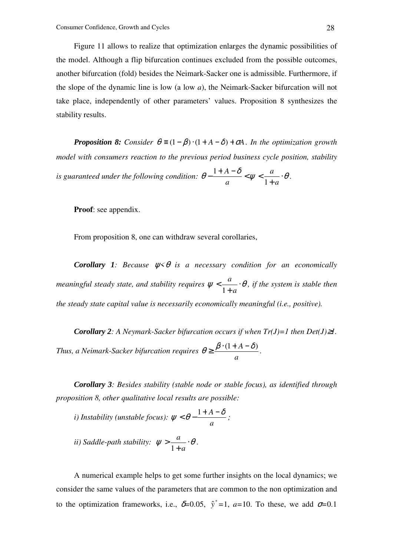Figure 11 allows to realize that optimization enlarges the dynamic possibilities of the model. Although a flip bifurcation continues excluded from the possible outcomes, another bifurcation (fold) besides the Neimark-Sacker one is admissible. Furthermore, if the slope of the dynamic line is low (a low *a*), the Neimark-Sacker bifurcation will not take place, independently of other parameters' values. Proposition 8 synthesizes the stability results.

*Proposition 8:* Consider  $\theta = (1 - \beta) \cdot (1 + A - \delta) + \sigma A$ . In the optimization growth *model with consumers reaction to the previous period business cycle position, stability is guaranteed under the following condition:*  $\theta - \frac{1+A-\delta}{\epsilon} < \psi < \frac{a}{\epsilon}$ . +  $-\frac{1+A-\delta}{\epsilon}<\psi<$ *a a a A* 1  $\frac{1+A-\delta}{\sim} < \psi < \frac{a}{\cdot} \cdot \theta$ .

**Proof**: see appendix.

From proposition 8, one can withdraw several corollaries,

*Corollary 1: Because* ψ*<*θ *is a necessary condition for an economically meaningful steady state, and stability requires*  $\psi < \frac{a}{1 + \phi} \cdot \theta$ +  $\lt$ *a a* 1 *, if the system is stable then the steady state capital value is necessarily economically meaningful (i.e., positive).* 

*Corollary 2: A Neymark-Sacker bifurcation occurs if when Tr(J)=1 then Det(J)*≥*1. Thus, a Neimark-Sacker bifurcation requires a*  $\theta \geq \frac{\beta \cdot (1 + A - \delta)}{\beta}.$ 

*Corollary 3: Besides stability (stable node or stable focus), as identified through proposition 8, other qualitative local results are possible:* 

*i)* Instability (unstable focus): 
$$
\psi < \theta - \frac{1 + A - \delta}{a}
$$
;  
*ii)* Saddle-path stability:  $\psi > \frac{a}{1 + a} \cdot \theta$ .

A numerical example helps to get some further insights on the local dynamics; we consider the same values of the parameters that are common to the non optimization and to the optimization frameworks, i.e.,  $\delta = 0.05$ ,  $\hat{y}^* = 1$ ,  $a = 10$ . To these, we add  $\sigma = 0.1$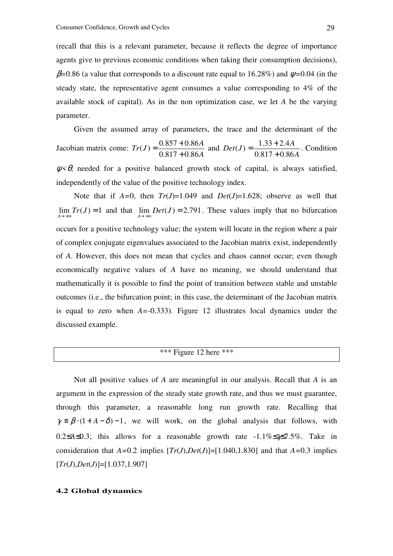(recall that this is a relevant parameter, because it reflects the degree of importance agents give to previous economic conditions when taking their consumption decisions), β*=*0.86 (a value that corresponds to a discount rate equal to 16.28%) and ψ*=*0.04 (in the steady state, the representative agent consumes a value corresponding to 4% of the available stock of capital). As in the non optimization case, we let *A* be the varying parameter.

Given the assumed array of parameters, the trace and the determinant of the Jacobian matrix come: *A*  $Tr(J) = \frac{0.857 + 0.86A}{0.047 - 0.86A}$  $0.817 + 0.86$  $(J) = \frac{0.857 + 0.86}{0.847 - 0.865}$ +  $=\frac{0.857 + 0.86A}{0.047 - 0.06A}$  and *A*  $Det(J) = \frac{1.33 + 2.4A}{0.047 - 0.06}$  $0.817 + 0.86$  $(J) = \frac{1.33 + 2.4}{9.217 - 2.2}$ +  $=\frac{1.33 + 2.4A}{8.047 + 0.064}$ . Condition

 $\psi \leq \theta$ , needed for a positive balanced growth stock of capital, is always satisfied, independently of the value of the positive technology index.

Note that if  $A=0$ , then  $Tr(J)=1.049$  and  $Det(J)=1.628$ ; observe as well that  $\lim_{A \to +\infty} Tr(J) = 1$  and that  $\lim_{A \to +\infty} Det(J) = 2.791$ . These values imply that no bifurcation occurs for a positive technology value; the system will locate in the region where a pair of complex conjugate eigenvalues associated to the Jacobian matrix exist, independently of *A*. However, this does not mean that cycles and chaos cannot occur; even though economically negative values of *A* have no meaning, we should understand that mathematically it is possible to find the point of transition between stable and unstable outcomes (i.e., the bifurcation point; in this case, the determinant of the Jacobian matrix is equal to zero when *A=-*0.333). Figure 12 illustrates local dynamics under the discussed example.

# \*\*\* Figure 12 here \*\*\*

Not all positive values of *A* are meaningful in our analysis. Recall that *A* is an argument in the expression of the steady state growth rate, and thus we must guarantee, through this parameter, a reasonable long run growth rate. Recalling that  $\gamma = \beta \cdot (1 + A - \delta) - 1$ , we will work, on the global analysis that follows, with 0.2≤*A*≤0.3; this allows for a reasonable growth rate -1.1%≤γ≤7.5%. Take in consideration that  $A=0.2$  implies  $[Tr(J), Det(J)] = [1.040, 1.830]$  and that  $A=0.3$  implies [*Tr*(*J*),*Det*(*J*)]=[1.037,1.907]

### **4.2 Global dynamics**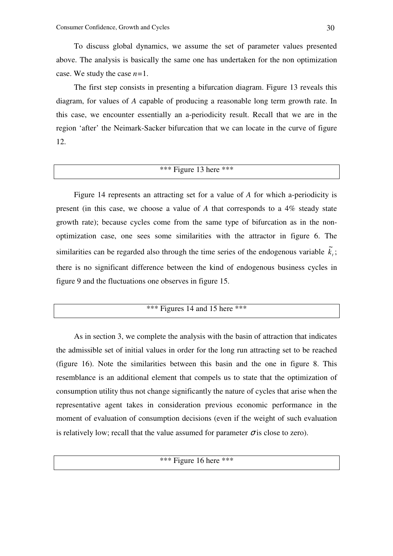To discuss global dynamics, we assume the set of parameter values presented above. The analysis is basically the same one has undertaken for the non optimization case. We study the case *n=*1.

The first step consists in presenting a bifurcation diagram. Figure 13 reveals this diagram, for values of *A* capable of producing a reasonable long term growth rate. In this case, we encounter essentially an a-periodicity result. Recall that we are in the region 'after' the Neimark-Sacker bifurcation that we can locate in the curve of figure 12.

# $\overline{\text{***}}$  Figure 13 here \*\*\*

Figure 14 represents an attracting set for a value of *A* for which a-periodicity is present (in this case, we choose a value of *A* that corresponds to a 4% steady state growth rate); because cycles come from the same type of bifurcation as in the nonoptimization case, one sees some similarities with the attractor in figure 6. The similarities can be regarded also through the time series of the endogenous variable  $\tilde{k}_i$ ; there is no significant difference between the kind of endogenous business cycles in figure 9 and the fluctuations one observes in figure 15.

|  |  | *** Figures 14 and 15 here *** |
|--|--|--------------------------------|
|--|--|--------------------------------|

As in section 3, we complete the analysis with the basin of attraction that indicates the admissible set of initial values in order for the long run attracting set to be reached (figure 16). Note the similarities between this basin and the one in figure 8. This resemblance is an additional element that compels us to state that the optimization of consumption utility thus not change significantly the nature of cycles that arise when the representative agent takes in consideration previous economic performance in the moment of evaluation of consumption decisions (even if the weight of such evaluation is relatively low; recall that the value assumed for parameter  $\sigma$  is close to zero).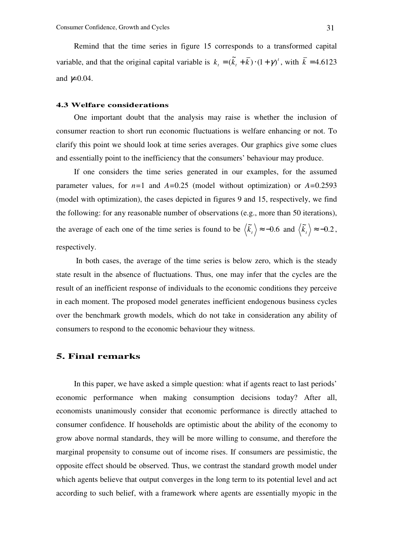Remind that the time series in figure 15 corresponds to a transformed capital variable, and that the original capital variable is  $k_t = (\tilde{k}_t + \bar{k}) \cdot (1 + \gamma)^t$ , with  $\bar{k} = 4.6123$ and  $\not\simeq 0.04$ .

### **4.3 Welfare considerations**

One important doubt that the analysis may raise is whether the inclusion of consumer reaction to short run economic fluctuations is welfare enhancing or not. To clarify this point we should look at time series averages. Our graphics give some clues and essentially point to the inefficiency that the consumers' behaviour may produce.

If one considers the time series generated in our examples, for the assumed parameter values, for *n=*1 and *A=*0.25 (model without optimization) or *A=*0.2593 (model with optimization), the cases depicted in figures 9 and 15, respectively, we find the following: for any reasonable number of observations (e.g., more than 50 iterations), the average of each one of the time series is found to be  $\langle \tilde{k}_t \rangle \approx -0.6$  and  $\langle \tilde{k}_t \rangle \approx -0.2$ , respectively.

 In both cases, the average of the time series is below zero, which is the steady state result in the absence of fluctuations. Thus, one may infer that the cycles are the result of an inefficient response of individuals to the economic conditions they perceive in each moment. The proposed model generates inefficient endogenous business cycles over the benchmark growth models, which do not take in consideration any ability of consumers to respond to the economic behaviour they witness.

### **5. Final remarks**

In this paper, we have asked a simple question: what if agents react to last periods' economic performance when making consumption decisions today? After all, economists unanimously consider that economic performance is directly attached to consumer confidence. If households are optimistic about the ability of the economy to grow above normal standards, they will be more willing to consume, and therefore the marginal propensity to consume out of income rises. If consumers are pessimistic, the opposite effect should be observed. Thus, we contrast the standard growth model under which agents believe that output converges in the long term to its potential level and act according to such belief, with a framework where agents are essentially myopic in the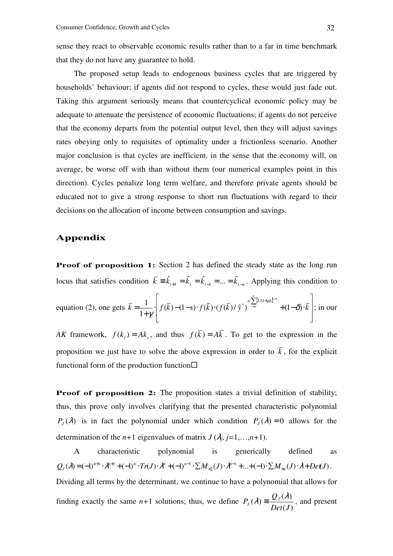sense they react to observable economic results rather than to a far in time benchmark that they do not have any guarantee to hold.

The proposed setup leads to endogenous business cycles that are triggered by households' behaviour; if agents did not respond to cycles, these would just fade out. Taking this argument seriously means that countercyclical economic policy may be adequate to attenuate the persistence of economic fluctuations; if agents do not perceive that the economy departs from the potential output level, then they will adjust savings rates obeying only to requisites of optimality under a frictionless scenario. Another major conclusion is that cycles are inefficient, in the sense that the economy will, on average, be worse off with than without them (our numerical examples point in this direction). Cycles penalize long term welfare, and therefore private agents should be educated not to give a strong response to short run fluctuations with regard to their decisions on the allocation of income between consumption and savings.

# **Appendix**

**Proof of proposition 1:** Section 2 has defined the steady state as the long run locus that satisfies condition  $\bar{k} = \hat{k}_{t+1} = \hat{k}_t = \hat{k}_{t-1} = ... = \hat{k}_{t-n}$ . Applying this condition to

equation (2), one gets 
$$
\bar{k} = \frac{1}{1+\gamma} \left[ f(\bar{k}) - (1-s) \cdot f(\bar{k}) \cdot (f(\bar{k})/\hat{y}^*)^{\sum_{i=1}^{n} [1/(1+\mu)]^{i-1}} + (1-\delta) \cdot \bar{k} \right];
$$
 in our

*AK* framework,  $f(k_t) = Ak_t$ , and thus  $f(k) = Ak$ . To get to the expression in the proposition we just have to solve the above expression in order to  $\overline{k}$ , for the explicit functional form of the production function  $\square$ 

**Proof of proposition 2:** The proposition states a trivial definition of stability; thus, this prove only involves clarifying that the presented characteristic polynomial  $P_J(\lambda)$  is in fact the polynomial under which condition  $P_J(\lambda) = 0$  allows for the determination of the  $n+1$  eigenvalues of matrix  $J(\lambda_j, j=1,...,n+1)$ .

A characteristic polynomial is generically defined as  $(\lambda) = (-1)^{n+1} \cdot \lambda^{n+1} + (-1)^n \cdot Tr(J) \cdot \lambda^n + (-1)^{n-1} \cdot \sum M_{\chi_2}(J) \cdot \lambda^{n-1} + ... + (-1) \cdot \sum M_{\chi_n}(J) \cdot \lambda + Det(J)$  $Q_{J}(\lambda) = (-1)^{n+1} \cdot \lambda^{n+1} + (-1)^{n} \cdot Tr(J) \cdot \lambda^{n} + (-1)^{n-1} \cdot \sum M_{\times 2}(J) \cdot \lambda^{n-1} + ... + (-1) \cdot \sum M_{\times n}(J) \cdot \lambda + Det(J)$ ×  $\lambda$ ) = (-1)<sup>n+1</sup>  $\cdot \lambda$ <sup>n+1</sup> + (-1)<sup>n</sup>  $\cdot$   $Tr(J) \cdot \lambda$ <sup>n</sup> + (-1)<sup>n-1</sup>  $\cdot \sum M_{\chi_2}(J) \cdot \lambda$ <sup>n-1</sup> + ... + (-1) $\cdot \sum M_{\chi_1}(J) \cdot \lambda$  + Det(J). Dividing all terms by the determinant, we continue to have a polynomial that allows for finding exactly the same  $n+1$  solutions; thus, we define  $(J)$  $(\lambda)$  $(\lambda)$ *Det J Q*  $P_{J}(\lambda) \equiv \frac{\mathcal{Q}_{J}}{D_{J}}$  $\lambda$ ) =  $\frac{Q_{J}(\lambda)}{R_{J}(\lambda)}$ , and present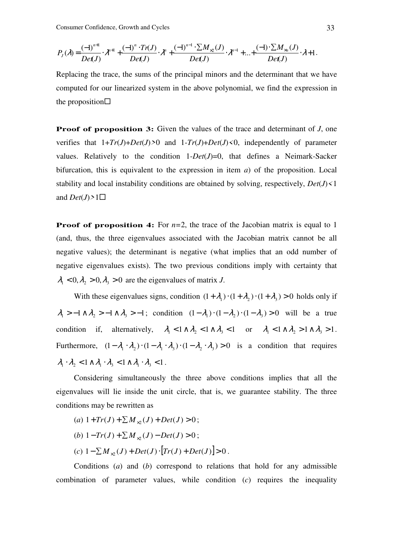$$
P_{J}(\lambda) = \frac{(-1)^{n+1}}{De(J)} \cdot \lambda^{n+1} + \frac{(-1)^{n} \cdot Tr(J)}{De(J)} \cdot \lambda^{n} + \frac{(-1)^{n-1} \cdot \sum M_{\times 2}(J)}{De(J)} \cdot \lambda^{n-1} + \dots + \frac{(-1) \cdot \sum M_{\times n}(J)}{De(J)} \cdot \lambda + 1.
$$

Replacing the trace, the sums of the principal minors and the determinant that we have computed for our linearized system in the above polynomial, we find the expression in the proposition $\square$ 

**Proof of proposition 3:** Given the values of the trace and determinant of *J*, one verifies that  $1+Tr(J)+Det(J) \geq 0$  and  $1-Tr(J)+Det(J) \leq 0$ , independently of parameter values. Relatively to the condition  $1-Det(J)=0$ , that defines a Neimark-Sacker bifurcation, this is equivalent to the expression in item *a*) of the proposition. Local stability and local instability conditions are obtained by solving, respectively, *Det*(*J*)*<*1 and  $Det(J) > 1\square$ 

**Proof of proposition 4:** For  $n=2$ , the trace of the Jacobian matrix is equal to 1 (and, thus, the three eigenvalues associated with the Jacobian matrix cannot be all negative values); the determinant is negative (what implies that an odd number of negative eigenvalues exists). The two previous conditions imply with certainty that  $\lambda_1 < 0$ ,  $\lambda_2 > 0$ ,  $\lambda_3 > 0$  are the eigenvalues of matrix *J*.

With these eigenvalues signs, condition  $(1 + \lambda_1) \cdot (1 + \lambda_2) \cdot (1 + \lambda_3) > 0$  holds only if  $\lambda_1 > -1 \wedge \lambda_2 > -1 \wedge \lambda_3 > -1$ ; condition  $(1 - \lambda_1) \cdot (1 - \lambda_2) \cdot (1 - \lambda_3) > 0$  will be a true condition if, alternatively,  $\lambda_1 < 1 \wedge \lambda_2 < 1 \wedge \lambda_3 < 1$  or  $\lambda_1 < 1 \wedge \lambda_2 > 1 \wedge \lambda_3 > 1$ . Furthermore,  $(1 - \lambda_1 \cdot \lambda_2) \cdot (1 - \lambda_1 \cdot \lambda_3) \cdot (1 - \lambda_2 \cdot \lambda_3) > 0$  is a condition that requires  $\lambda_1 \cdot \lambda_2 < 1 \wedge \lambda_1 \cdot \lambda_3 < 1 \wedge \lambda_1 \cdot \lambda_3 < 1$ .

Considering simultaneously the three above conditions implies that all the eigenvalues will lie inside the unit circle, that is, we guarantee stability. The three conditions may be rewritten as

(a) 
$$
1+Tr(J) + \sum M_{\times 2}(J) + Det(J) > 0
$$
;

- $(b)$  1−*Tr*(*J*) +  $\sum M_{\times 2}(J)$  *Det*(*J*) > 0;
- $(c) \ 1 \sum M_{\times 2}(J) + Det(J) \cdot [Tr(J) + Det(J)] > 0.$

Conditions (*a*) and (*b*) correspond to relations that hold for any admissible combination of parameter values, while condition (*c*) requires the inequality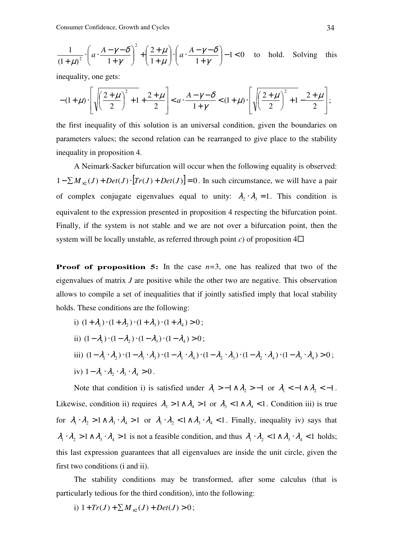Consumer Confidence, Growth and Cycles 34

$$
\frac{1}{(1+\mu)^2} \cdot \left( a \cdot \frac{A-\gamma-\delta}{1+\gamma} \right)^2 + \left( \frac{2+\mu}{1+\mu} \right) \cdot \left( a \cdot \frac{A-\gamma-\delta}{1+\gamma} \right) - 1 < 0 \quad \text{to hold. Solving this}
$$

inequality, one gets:

$$
-(1+\mu)\cdot\left[\sqrt{\left(\frac{2+\mu}{2}\right)^2+1}+\frac{2+\mu}{2}\right] < a\cdot\frac{A-\gamma-\delta}{1+\gamma} < (1+\mu)\cdot\left[\sqrt{\left(\frac{2+\mu}{2}\right)^2+1}-\frac{2+\mu}{2}\right];
$$

the first inequality of this solution is an universal condition, given the boundaries on parameters values; the second relation can be rearranged to give place to the stability inequality in proposition 4.

A Neimark-Sacker bifurcation will occur when the following equality is observed:  $1 - \sum M_{\times 2}(J) + Det(J) \cdot [Tr(J) + Det(J)] = 0$ . In such circumstance, we will have a pair of complex conjugate eigenvalues equal to unity:  $\lambda_2 \cdot \lambda_3 = 1$ . This condition is equivalent to the expression presented in proposition 4 respecting the bifurcation point. Finally, if the system is not stable and we are not over a bifurcation point, then the system will be locally unstable, as referred through point *c*) of proposition  $4\Box$ 

**Proof of proposition 5:** In the case  $n=3$ , one has realized that two of the eigenvalues of matrix *J* are positive while the other two are negative. This observation allows to compile a set of inequalities that if jointly satisfied imply that local stability holds. These conditions are the following:

i) 
$$
(1 + \lambda_1) \cdot (1 + \lambda_2) \cdot (1 + \lambda_3) \cdot (1 + \lambda_4) > 0
$$
;  
\nii)  $(1 - \lambda_1) \cdot (1 - \lambda_2) \cdot (1 - \lambda_3) \cdot (1 - \lambda_4) > 0$ ;  
\niii)  $(1 - \lambda_1 \cdot \lambda_2) \cdot (1 - \lambda_1 \cdot \lambda_3) \cdot (1 - \lambda_1 \cdot \lambda_4) \cdot (1 - \lambda_2 \cdot \lambda_3) \cdot (1 - \lambda_2 \cdot \lambda_4) \cdot (1 - \lambda_3 \cdot \lambda_4) > 0$ ;  
\niv)  $1 - \lambda_1 \cdot \lambda_2 \cdot \lambda_3 \cdot \lambda_4 > 0$ .

Note that condition i) is satisfied under  $\lambda_1 > -1 \wedge \lambda_2 > -1$  or  $\lambda_1 < -1 \wedge \lambda_2 < -1$ . Likewise, condition ii) requires  $\lambda_3 > 1 \wedge \lambda_4 > 1$  or  $\lambda_3 < 1 \wedge \lambda_4 < 1$ . Condition iii) is true for  $\lambda_1 \cdot \lambda_2 > 1 \wedge \lambda_3 \cdot \lambda_4 > 1$  or  $\lambda_1 \cdot \lambda_2 < 1 \wedge \lambda_3 \cdot \lambda_4 < 1$ . Finally, inequality iv) says that  $\lambda_1 \cdot \lambda_2 > 1 \wedge \lambda_3 \cdot \lambda_4 > 1$  is not a feasible condition, and thus  $\lambda_1 \cdot \lambda_2 < 1 \wedge \lambda_3 \cdot \lambda_4 < 1$  holds; this last expression guarantees that all eigenvalues are inside the unit circle, given the first two conditions (i and ii).

The stability conditions may be transformed, after some calculus (that is particularly tedious for the third condition), into the following:

i) 
$$
1+Tr(J)+\sum M_{\times 2}(J)+Det(J) > 0;
$$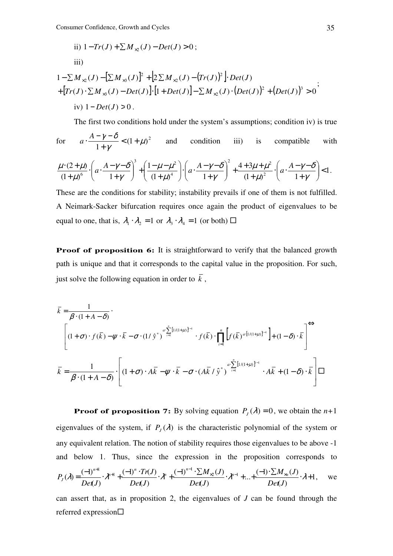ii) 
$$
1 - Tr(J) + \sum M_{\times 2}(J) - Det(J) > 0
$$
;  
iii)

$$
1 - \sum M_{\times 2}(J) - \left[\sum M_{\times 3}(J)\right]^2 + \left[2\sum M_{\times 2}(J) - (Tr(J))^2\right] \cdot Det(J)
$$
  
+ 
$$
\left[Tr(J) \cdot \sum M_{\times 3}(J) - Det(J)\right] \cdot \left[1 + Det(J)\right] - \sum M_{\times 2}(J) \cdot \left(Det(J)\right)^2 + \left(Det(J)\right)^3 > 0
$$
  
iv) 
$$
1 - Det(J) > 0.
$$

The first two conditions hold under the system's assumptions; condition iv) is true

for 
$$
a \cdot \frac{A - \gamma - \delta}{1 + \gamma} < (1 + \mu)^2
$$
 and condition iii) is compatible with

$$
\frac{\mu\cdot(2+\mu)}{\left(1+\mu\right)^6}\cdot\left(a\cdot\frac{A-\gamma-\delta}{1+\gamma}\right)^3+\left(\frac{1-\mu-\mu^2}{\left(1+\mu\right)^4}\right)\cdot\left(a\cdot\frac{A-\gamma-\delta}{1+\gamma}\right)^2+\frac{4+3\mu+\mu^2}{\left(1+\mu\right)^2}\cdot\left(a\cdot\frac{A-\gamma-\delta}{1+\gamma}\right)<1.
$$

These are the conditions for stability; instability prevails if one of them is not fulfilled. A Neimark-Sacker bifurcation requires once again the product of eigenvalues to be equal to one, that is,  $\lambda_1 \cdot \lambda_2 = 1$  or  $\lambda_3 \cdot \lambda_4 = 1$  (or both)  $\Box$ 

**Proof of proposition 6:** It is straightforward to verify that the balanced growth path is unique and that it corresponds to the capital value in the proposition. For such, just solve the following equation in order to  $\overline{k}$ ,

$$
\overline{k} = \frac{1}{\beta \cdot (1 + A - \delta)}.
$$
\n
$$
\left[ (1 + \sigma) \cdot f(\overline{k}) - \psi \cdot \overline{k} - \sigma \cdot (1/\hat{y}^*)^{\alpha \sum_{i=1}^n [1/(1+\mu)]^{i-1}} \cdot f(\overline{k}) \cdot \prod_{i=1}^n \left[ f(\overline{k})^{\alpha \cdot [1/(1+\mu)]^{i-1}} \right] + (1 - \delta) \cdot \overline{k} \right] \Leftrightarrow
$$
\n
$$
\overline{k} = \frac{1}{\beta \cdot (1 + A - \delta)} \cdot \left[ (1 + \sigma) \cdot A\overline{k} - \psi \cdot \overline{k} - \sigma \cdot (A\overline{k}/\hat{y}^*)^{\alpha \sum_{i=1}^n [1/(1+\mu)]^{i-1}} \cdot A\overline{k} + (1 - \delta) \cdot \overline{k} \right] \square
$$

**Proof of proposition 7:** By solving equation  $P_J(\lambda) = 0$ , we obtain the  $n+1$ eigenvalues of the system, if  $P_J(\lambda)$  is the characteristic polynomial of the system or any equivalent relation. The notion of stability requires those eigenvalues to be above -1 and below 1. Thus, since the expression in the proposition corresponds to 1  $(J)$  $(-1)\cdot \sum M_{\times n}(J)$ ...  $(J)$  $(-1)^{n-1} \cdot \sum M_{\chi_2}(J)$  $(J)$  $(-1)^n \cdot Tr(J)$  $(J)$  $(\lambda) = \frac{(-1)^{n+1}}{n} \cdot \lambda^{n+1} + \frac{(-1)^n \cdot Tr(J)}{n} \cdot \lambda^n + \frac{(-1)^{n-1} \cdot \sum M_{\times 2}(J)}{n} \cdot \lambda^{n-1}$ 1  $1$   $2n+1$  $\cdot \lambda +$  $-1) \cdot \sum$  $\cdot \lambda^{n-1} + ... +$  $(-1)^{n-1} \cdot \sum$  $=\frac{(-1)^{n+1}}{n} \cdot \chi^{n+1} + \frac{(-1)^n \cdot Tr(J)}{n} \cdot \chi^n + \frac{(-1)^{n-1} \cdot \sum M_{\times 2}(J)}{n} \cdot \chi^{n-1} + \dots + \frac{(-1)^{\cdot} \sum M_{\times 2}(J)}{n}$ −  $^{+1}$   $^{2n+}$  $\lambda = \frac{1}{2} \lambda^{n+1} + \frac{1}{2} \frac{1}{2} \frac{1}{2} \lambda^{n} + \frac{1}{2} \frac{1}{2} \frac{1}{2} \frac{1}{2} \frac{1}{2} \lambda^{n-1} + \ldots + \frac{1}{2} \frac{1}{2} \frac{1}{2} \frac{1}{2} \frac{1}{2} \lambda^{n} + \ldots$ *Det J*  $M_{\times n}^{\parallel}(J$ *Det J*  $M_{\times 2} (J$ *Det J*  $Tr(J$ *Det J*  $P_{I}(\lambda) = \frac{(1)}{n} \cdot \lambda^{n+1} + \frac{(1)}{n} \cdot \lambda^{n} + \frac{(1)}{n} \cdot \lambda^{n} + \frac{(1)}{n} \cdot \frac{(1)}{n} \cdot \lambda^{n-1} + ... + \frac{(1)}{n} \cdot \frac{(1)}{n} \cdot \frac{(1)}{n}$ *n*  $\int_{2^{n+1}}^{n+1} (-1)^n \cdot Tr(J)$ *J* we

can assert that, as in proposition 2, the eigenvalues of *J* can be found through the referred expression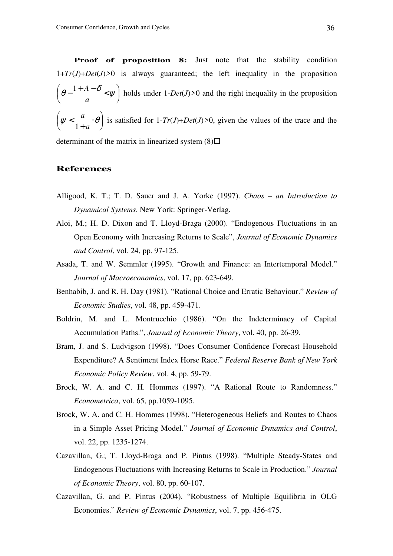**Proof of proposition 8:** Just note that the stability condition  $1+Tr(J)+Det(J)$ <sup>2</sup> is always guaranteed; the left inequality in the proposition  $\overline{\phantom{a}}$ J  $\left(\theta - \frac{1+A-\delta}{\epsilon}, \psi\right)$ l ſ  $\theta - \frac{1+A-\delta}{\gamma} < \psi$ *a*  $\frac{1+A-\delta}{\gamma}$  >  $\psi$  holds under 1-*Det*(*J*)<sup>20</sup> and the right inequality in the proposition  $\overline{\phantom{a}}$ J  $\left(\psi < \frac{a}{a} \cdot \theta\right)$  $\setminus$ ſ ⋅ +  $\psi < \frac{u}{1} \cdot \theta$ *a a* 1 is satisfied for 1-*Tr*(*J*)+*Det*(*J*)*>*0, given the values of the trace and the determinant of the matrix in linearized system  $(8)\Box$ 

### **References**

- Alligood, K. T.; T. D. Sauer and J. A. Yorke (1997). *Chaos an Introduction to Dynamical Systems*. New York: Springer-Verlag.
- Aloi, M.; H. D. Dixon and T. Lloyd-Braga (2000). "Endogenous Fluctuations in an Open Economy with Increasing Returns to Scale", *Journal of Economic Dynamics and Control*, vol. 24, pp. 97-125.
- Asada, T. and W. Semmler (1995). "Growth and Finance: an Intertemporal Model." *Journal of Macroeconomics*, vol. 17, pp. 623-649.
- Benhabib, J. and R. H. Day (1981). "Rational Choice and Erratic Behaviour." *Review of Economic Studies*, vol. 48, pp. 459-471.
- Boldrin, M. and L. Montrucchio (1986). "On the Indeterminacy of Capital Accumulation Paths.", *Journal of Economic Theory*, vol. 40, pp. 26-39.
- Bram, J. and S. Ludvigson (1998). "Does Consumer Confidence Forecast Household Expenditure? A Sentiment Index Horse Race." *Federal Reserve Bank of New York Economic Policy Review*, vol. 4, pp. 59-79.
- Brock, W. A. and C. H. Hommes (1997). "A Rational Route to Randomness." *Econometrica*, vol. 65, pp.1059-1095.
- Brock, W. A. and C. H. Hommes (1998). "Heterogeneous Beliefs and Routes to Chaos in a Simple Asset Pricing Model." *Journal of Economic Dynamics and Control*, vol. 22, pp. 1235-1274.
- Cazavillan, G.; T. Lloyd-Braga and P. Pintus (1998). "Multiple Steady-States and Endogenous Fluctuations with Increasing Returns to Scale in Production." *Journal of Economic Theory*, vol. 80, pp. 60-107.
- Cazavillan, G. and P. Pintus (2004). "Robustness of Multiple Equilibria in OLG Economies." *Review of Economic Dynamics*, vol. 7, pp. 456-475.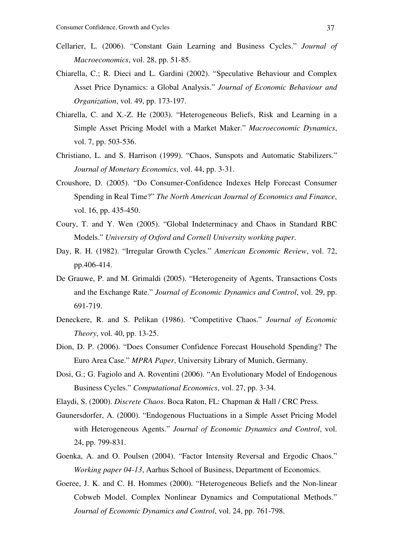- Cellarier, L. (2006). "Constant Gain Learning and Business Cycles." *Journal of Macroeconomics*, vol. 28, pp. 51-85.
- Chiarella, C.; R. Dieci and L. Gardini (2002). "Speculative Behaviour and Complex Asset Price Dynamics: a Global Analysis." *Journal of Economic Behaviour and Organization*, vol. 49, pp. 173-197.
- Chiarella, C. and X.-Z. He (2003). "Heterogeneous Beliefs, Risk and Learning in a Simple Asset Pricing Model with a Market Maker." *Macroeconomic Dynamics*, vol. 7, pp. 503-536.
- Christiano, L. and S. Harrison (1999). "Chaos, Sunspots and Automatic Stabilizers." *Journal of Monetary Economics*, vol. 44, pp. 3-31.
- Croushore, D. (2005). "Do Consumer-Confidence Indexes Help Forecast Consumer Spending in Real Time?" *The North American Journal of Economics and Finance*, vol. 16, pp. 435-450.
- Coury, T. and Y. Wen (2005). "Global Indeterminacy and Chaos in Standard RBC Models." *University of Oxford and Cornell University working paper*.
- Day, R. H. (1982). "Irregular Growth Cycles." *American Economic Review*, vol. 72, pp.406-414.
- De Grauwe, P. and M. Grimaldi (2005). "Heterogeneity of Agents, Transactions Costs and the Exchange Rate." *Journal of Economic Dynamics and Control*, vol. 29, pp. 691-719.
- Deneckere, R. and S. Pelikan (1986). "Competitive Chaos." *Journal of Economic Theory*, vol. 40, pp. 13-25.
- Dion, D. P. (2006). "Does Consumer Confidence Forecast Household Spending? The Euro Area Case." *MPRA Paper*, University Library of Munich, Germany.
- Dosi, G.; G. Fagiolo and A. Roventini (2006). "An Evolutionary Model of Endogenous Business Cycles." *Computational Economics*, vol. 27, pp. 3-34.
- Elaydi, S. (2000). *Discrete Chaos*. Boca Raton, FL: Chapman & Hall / CRC Press.
- Gaunersdorfer, A. (2000). "Endogenous Fluctuations in a Simple Asset Pricing Model with Heterogeneous Agents." *Journal of Economic Dynamics and Control*, vol. 24, pp. 799-831.
- Goenka, A. and O. Poulsen (2004). "Factor Intensity Reversal and Ergodic Chaos." *Working paper 04-13*, Aarhus School of Business, Department of Economics.
- Goeree, J. K. and C. H. Hommes (2000). "Heterogeneous Beliefs and the Non-linear Cobweb Model. Complex Nonlinear Dynamics and Computational Methods." *Journal of Economic Dynamics and Control*, vol. 24, pp. 761-798.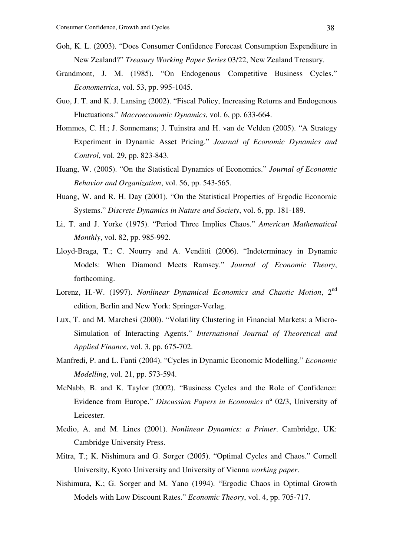- Goh, K. L. (2003). "Does Consumer Confidence Forecast Consumption Expenditure in New Zealand?" *Treasury Working Paper Series* 03/22, New Zealand Treasury.
- Grandmont, J. M. (1985). "On Endogenous Competitive Business Cycles." *Econometrica*, vol. 53, pp. 995-1045.
- Guo, J. T. and K. J. Lansing (2002). "Fiscal Policy, Increasing Returns and Endogenous Fluctuations." *Macroeconomic Dynamics*, vol. 6, pp. 633-664.
- Hommes, C. H.; J. Sonnemans; J. Tuinstra and H. van de Velden (2005). "A Strategy Experiment in Dynamic Asset Pricing." *Journal of Economic Dynamics and Control*, vol. 29, pp. 823-843.
- Huang, W. (2005). "On the Statistical Dynamics of Economics." *Journal of Economic Behavior and Organization*, vol. 56, pp. 543-565.
- Huang, W. and R. H. Day (2001). "On the Statistical Properties of Ergodic Economic Systems." *Discrete Dynamics in Nature and Society*, vol. 6, pp. 181-189.
- Li, T. and J. Yorke (1975). "Period Three Implies Chaos." *American Mathematical Monthly*, vol. 82, pp. 985-992.
- Lloyd-Braga, T.; C. Nourry and A. Venditti (2006). "Indeterminacy in Dynamic Models: When Diamond Meets Ramsey." *Journal of Economic Theory*, forthcoming.
- Lorenz, H.-W. (1997). *Nonlinear Dynamical Economics and Chaotic Motion*, 2<sup>nd</sup> edition, Berlin and New York: Springer-Verlag.
- Lux, T. and M. Marchesi (2000). "Volatility Clustering in Financial Markets: a Micro-Simulation of Interacting Agents." *International Journal of Theoretical and Applied Finance*, vol. 3, pp. 675-702.
- Manfredi, P. and L. Fanti (2004). "Cycles in Dynamic Economic Modelling." *Economic Modelling*, vol. 21, pp. 573-594.
- McNabb, B. and K. Taylor (2002). "Business Cycles and the Role of Confidence: Evidence from Europe." *Discussion Papers in Economics* nº 02/3, University of Leicester.
- Medio, A. and M. Lines (2001). *Nonlinear Dynamics: a Primer*. Cambridge, UK: Cambridge University Press.
- Mitra, T.; K. Nishimura and G. Sorger (2005). "Optimal Cycles and Chaos." Cornell University, Kyoto University and University of Vienna *working paper*.
- Nishimura, K.; G. Sorger and M. Yano (1994). "Ergodic Chaos in Optimal Growth Models with Low Discount Rates." *Economic Theory*, vol. 4, pp. 705-717.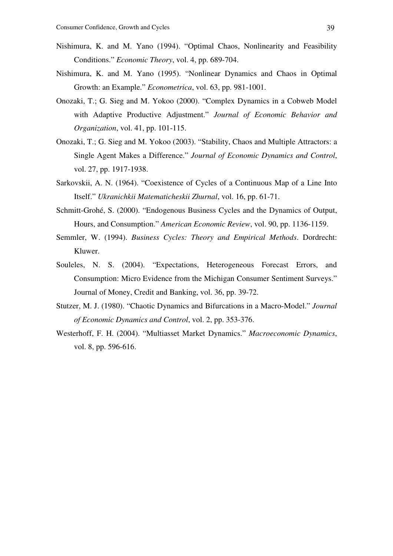- Nishimura, K. and M. Yano (1994). "Optimal Chaos, Nonlinearity and Feasibility Conditions." *Economic Theory*, vol. 4, pp. 689-704.
- Nishimura, K. and M. Yano (1995). "Nonlinear Dynamics and Chaos in Optimal Growth: an Example." *Econometrica*, vol. 63, pp. 981-1001.
- Onozaki, T.; G. Sieg and M. Yokoo (2000). "Complex Dynamics in a Cobweb Model with Adaptive Productive Adjustment." *Journal of Economic Behavior and Organization*, vol. 41, pp. 101-115.
- Onozaki, T.; G. Sieg and M. Yokoo (2003). "Stability, Chaos and Multiple Attractors: a Single Agent Makes a Difference." *Journal of Economic Dynamics and Control*, vol. 27, pp. 1917-1938.
- Sarkovskii, A. N. (1964). "Coexistence of Cycles of a Continuous Map of a Line Into Itself." *Ukranichkii Matematicheskii Zhurnal*, vol. 16, pp. 61-71.
- Schmitt-Grohé, S. (2000). "Endogenous Business Cycles and the Dynamics of Output, Hours, and Consumption." *American Economic Review*, vol. 90, pp. 1136-1159.
- Semmler, W. (1994). *Business Cycles: Theory and Empirical Methods*. Dordrecht: Kluwer.
- Souleles, N. S. (2004). "Expectations, Heterogeneous Forecast Errors, and Consumption: Micro Evidence from the Michigan Consumer Sentiment Surveys." Journal of Money, Credit and Banking, vol. 36, pp. 39-72.
- Stutzer, M. J. (1980). "Chaotic Dynamics and Bifurcations in a Macro-Model." *Journal of Economic Dynamics and Control*, vol. 2, pp. 353-376.
- Westerhoff, F. H. (2004). "Multiasset Market Dynamics." *Macroeconomic Dynamics*, vol. 8, pp. 596-616.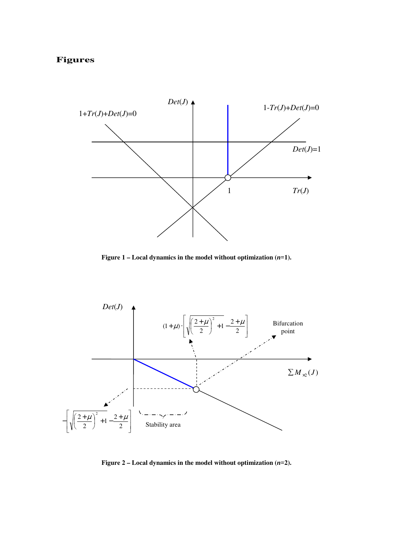# **Figures**



**Figure 1 – Local dynamics in the model without optimization (***n=***1).** 



**Figure 2 – Local dynamics in the model without optimization (***n=***2).**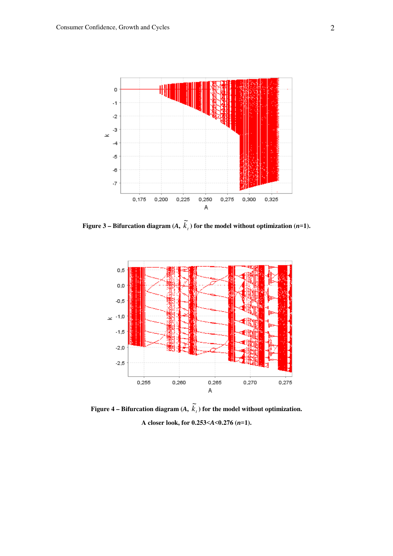

**Figure 3 – Bifurcation diagram** (*A*,  $\widetilde{k}_t$ ) for the model without optimization (*n*=1).



Figure 4 – Bifurcation diagram  $(A, \tilde{k}_t)$  for the model without optimization. **A closer look, for 0.253***<A<***0.276 (***n=***1).**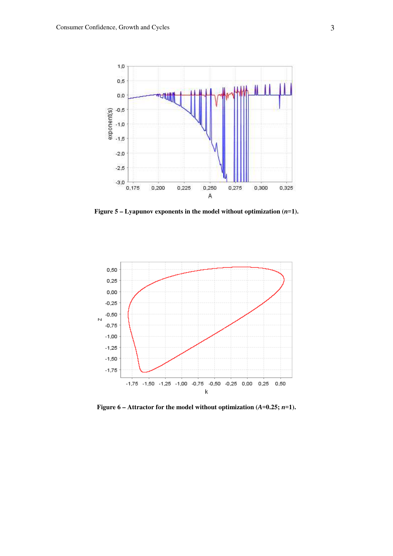

**Figure 5 – Lyapunov exponents in the model without optimization (***n=***1).** 



**Figure 6 – Attractor for the model without optimization (***A=***0.25;** *n=***1).**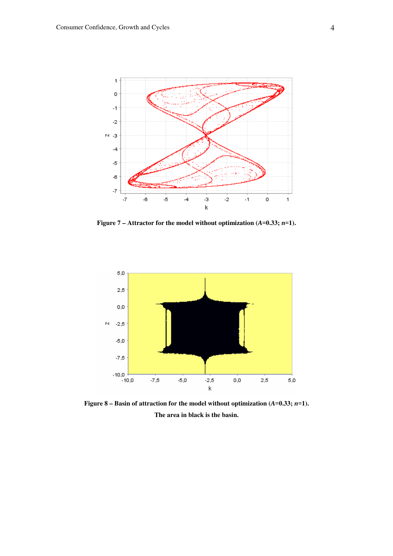

**Figure 7 – Attractor for the model without optimization (***A=***0.33;** *n=***1).** 



**Figure 8 – Basin of attraction for the model without optimization (***A=***0.33;** *n=***1). The area in black is the basin.**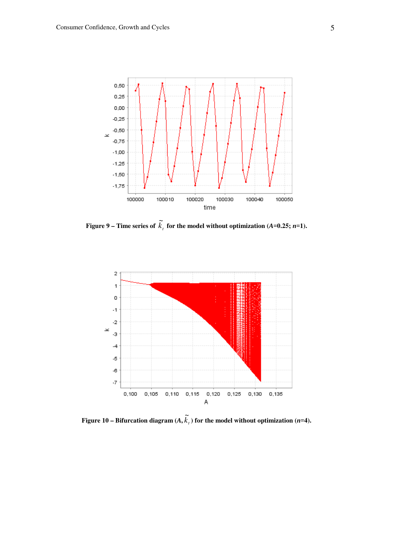

**Figure 9 – Time series of**  $\widetilde{k}_t$  **for the model without optimization (***A***=0.25;** *n***=1).** 



**Figure 10 – Bifurcation diagram**  $(A, \tilde{k}_t)$  for the model without optimization (*n*=4).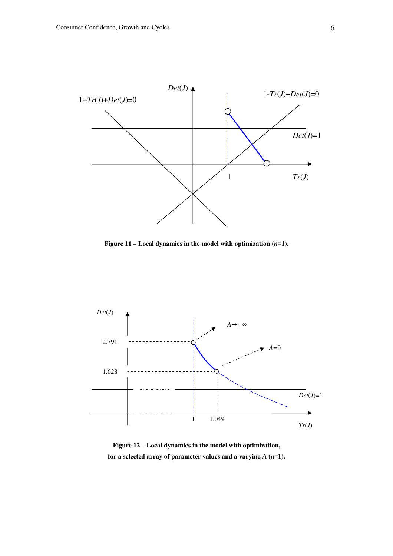

**Figure 11 – Local dynamics in the model with optimization (***n=***1).** 



**Figure 12 – Local dynamics in the model with optimization,**  for a selected array of parameter values and a varying  $A$   $(n=1)$ .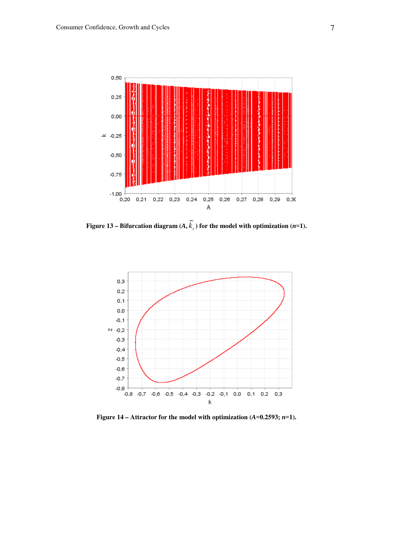

**Figure 13 – Bifurcation diagram**  $(A, \tilde{k}_t)$  for the model with optimization (*n*=1).



**Figure 14 – Attractor for the model with optimization**  $(A=0.2593; n=1)$ **.**